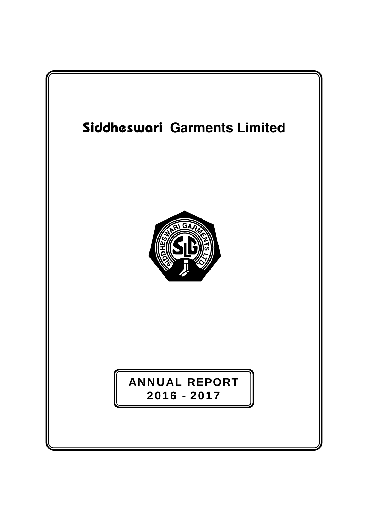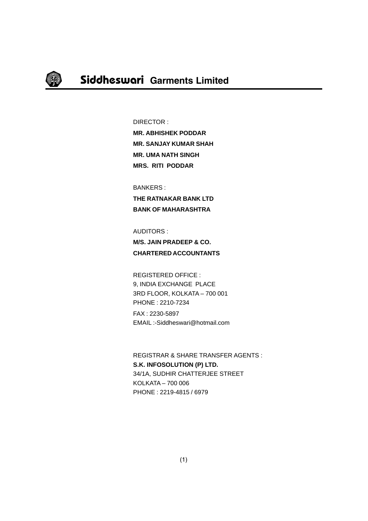

DIRECTOR :

**MR. ABHISHEK PODDAR MR. SANJAY KUMAR SHAH MR. UMA NATH SINGH MRS. RITI PODDAR**

BANKERS :

**THE RATNAKAR BANK LTD BANK OF MAHARASHTRA**

AUDITORS :

**M/S. JAIN PRADEEP & CO. CHARTERED ACCOUNTANTS**

REGISTERED OFFICE : 9, INDIA EXCHANGE PLACE 3RD FLOOR, KOLKATA – 700 001 PHONE : 2210-7234

FAX : 2230-5897 EMAIL :-Siddheswari@hotmail.com

REGISTRAR & SHARE TRANSFER AGENTS : **S.K. INFOSOLUTION (P) LTD.** 34/1A, SUDHIR CHATTERJEE STREET KOLKATA – 700 006 PHONE : 2219-4815 / 6979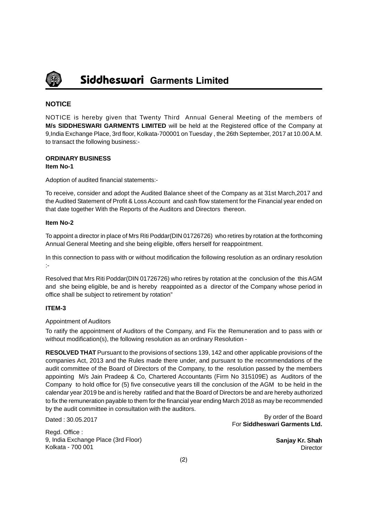

### **NOTICE**

NOTICE is hereby given that Twenty Third Annual General Meeting of the members of **M/s SIDDHESWARI GARMENTS LIMITED** will be held at the Registered office of the Company at 9,India Exchange Place, 3rd floor, Kolkata-700001 on Tuesday , the 26th September, 2017 at 10.00 A.M. to transact the following business:-

#### **ORDINARY BUSINESS Item No-1**

Adoption of audited financial statements:-

To receive, consider and adopt the Audited Balance sheet of the Company as at 31st March,2017 and the Audited Statement of Profit & Loss Account and cash flow statement for the Financial year ended on that date together With the Reports of the Auditors and Directors thereon.

### **Item No-2**

To appoint a director in place of Mrs Riti Poddar(DIN 01726726) who retires by rotation at the forthcoming Annual General Meeting and she being eligible, offers herself for reappointment.

In this connection to pass with or without modification the following resolution as an ordinary resolution :-

Resolved that Mrs Riti Poddar(DIN 01726726) who retires by rotation at the conclusion of the this AGM and she being eligible, be and is hereby reappointed as a director of the Company whose period in office shall be subject to retirement by rotation"

### **ITEM-3**

Appointment of Auditors

To ratify the appointment of Auditors of the Company, and Fix the Remuneration and to pass with or without modification(s), the following resolution as an ordinary Resolution -

**RESOLVED THAT** Pursuant to the provisions of sections 139, 142 and other applicable provisions of the companies Act, 2013 and the Rules made there under, and pursuant to the recommendations of the audit committee of the Board of Directors of the Company, to the resolution passed by the members appointing M/s Jain Pradeep & Co, Chartered Accountants (Firm No 315109E) as Auditors of the Company to hold office for (5) five consecutive years till the conclusion of the AGM to be held in the calendar year 2019 be and is hereby ratified and that the Board of Directors be and are hereby authorized to fix the remuneration payable to them for the financial year ending March 2018 as may be recommended by the audit committee in consultation with the auditors.

Dated : 30.05.2017

By order of the Board For **Siddheswari Garments Ltd.**

Regd. Office : 9, India Exchange Place (3rd Floor) Kolkata - 700 001

**Sanjay Kr. Shah Director**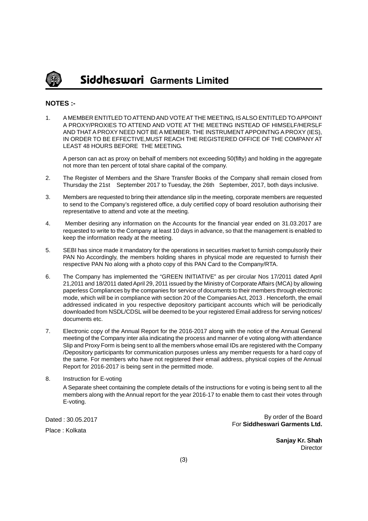

### **NOTES :-**

1. A MEMBER ENTITLED TO ATTEND AND VOTE AT THE MEETING, IS ALSO ENTITLED TO APPOINT A PROXY/PROXIES TO ATTEND AND VOTE AT THE MEETING INSTEAD OF HIMSELF/HERSLF AND THAT A PROXY NEED NOT BE A MEMBER. THE INSTRUMENT APPOINTNG A PROXY (IES), IN ORDER TO BE EFFECTIVE,MUST REACH THE REGISTERED OFFICE OF THE COMPANY AT LEAST 48 HOURS BEFORE THE MEETING.

A person can act as proxy on behalf of members not exceeding 50(fifty) and holding in the aggregate not more than ten percent of total share capital of the company.

- LEAST 48 HOURS BEFORE THE MEETING.<br>
A person can act as proxy on behalf of members not exceeding 50(fifty) and holding in the aggregate<br>
not more than ten percent of total share capital of the company.<br>
2. The Register of Thursday the 21st September 2017 to Tuesday, the 26th September, 2017, both days inclusive.
- 3. The Register of Members and the Share Capital of the company.<br>
2. The Register of Members and the Share Transfer Books of the Company shall remain closed from<br>
Thursday the 21st September 2017 to Tuesday, the 26th Septe to send to the Company's registered office, a duly certified copy of board resolution authorising their representative to attend and vote at the meeting. 4. Members are requested to bring their attendance slip in the meeting, corporate members are requested<br>to send to the Company's registered office, a duly certified copy of board resolution authorising their<br>representative
- requested to write to the Company at least 10 days in advance, so that the management is enabled to keep the information ready at the meeting.
- 5. SEBI has since made it mandatory for the operations in securities market to furnish compulsorily their PAN No Accordingly, the members holding shares in physical mode are requested to furnish their respective PAN No along with a photo copy of this PAN Card to the Company/RTA. SEBI has since made it mandatory for the operations in securities market to furnish compulsorily their<br>
PAN No Accordingly, the members holding shares in physical mode are requested to furnish their<br>
respective PAN No alon
- paperless Compliances by the companies for service of documents to their members through electronic mode, which will be in compliance with section 20 of the Companies Act, 2013 . Henceforth, the email addressed indicated in you respective depository participant accounts which will be periodically downloaded from NSDL/CDSL will be deemed to be your registered Email address for serving notices/ documents etc. mode, which will be in compliance with section 20 of the Companies Act, 2013. Henceforth, the email<br>addressed indicated in you respective depository participant accounts which will be periodically<br>downloaded from NSDL/CDSL
- meeting of the Company inter alia indicating the process and manner of e voting along with attendance Slip and Proxy Form is being sent to all the members whose email IDs are registered with the Company /Depository participants for communication purposes unless any member requests for a hard copy of the same. For members who have not registered their email address, physical copies of the Annual Report for 2016-2017 is being sent in the permitted mode. Slip and Proxy Form is being sent to all the members whose email IDs are registered with the Company<br>
/Depository participants for communication purposes unless any member requests for a hard copy of<br>
the same. For members
- 

members along with the Annual report for the year 2016-17 to enable them to cast their votes through E-voting.

Dated : 30.05.2017

Place : Kolkata

By order of the Board For **Siddheswari Garments Ltd.**

> **Sanjay Kr. Shah Director**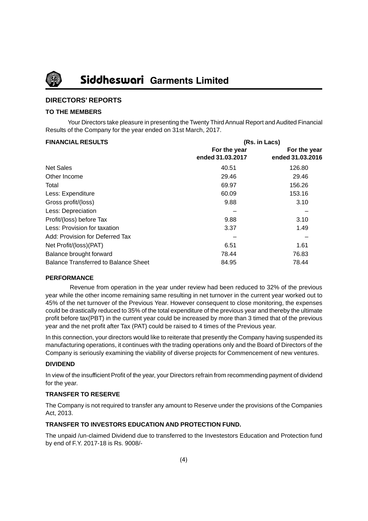

### **DIRECTORS' REPORTS**

#### **TO THE MEMBERS**

| <b>TO THE MEMBERS</b>                                                                                                                                             |                                  |                                  |  |  |  |
|-------------------------------------------------------------------------------------------------------------------------------------------------------------------|----------------------------------|----------------------------------|--|--|--|
| Your Directors take pleasure in presenting the Twenty Third Annual Report and Audited Financial<br>Results of the Company for the year ended on 31st March, 2017. |                                  |                                  |  |  |  |
| <b>FINANCIAL RESULTS</b>                                                                                                                                          | (Rs. in Lacs)                    |                                  |  |  |  |
|                                                                                                                                                                   | For the year<br>ended 31.03.2017 | For the year<br>ended 31.03.2016 |  |  |  |
| <b>Net Sales</b>                                                                                                                                                  | 40.51                            | 126.80                           |  |  |  |
| Other Income                                                                                                                                                      | 29.46                            | 29.46                            |  |  |  |
| Total                                                                                                                                                             | 69.97                            | 156.26                           |  |  |  |
| Less: Expenditure                                                                                                                                                 | 60.09                            | 153.16                           |  |  |  |
| Gross profit/(loss)                                                                                                                                               | 9.88                             | 3.10                             |  |  |  |
| Less: Depreciation                                                                                                                                                |                                  |                                  |  |  |  |
| Profit/(loss) before Tax                                                                                                                                          | 9.88                             | 3.10                             |  |  |  |
| Less: Provision for taxation                                                                                                                                      | 3.37                             | 1.49                             |  |  |  |
| Add: Provision for Deferred Tax                                                                                                                                   |                                  |                                  |  |  |  |
| Net Profit/(loss)(PAT)                                                                                                                                            | 6.51                             | 1.61                             |  |  |  |
| Balance brought forward                                                                                                                                           | 78.44                            | 76.83                            |  |  |  |
| <b>Balance Transferred to Balance Sheet</b>                                                                                                                       | 84.95                            | 78.44                            |  |  |  |
| <b>BEBEABHANAE</b>                                                                                                                                                |                                  |                                  |  |  |  |

#### **PERFORMANCE**

 Revenue from operation in the year under review had been reduced to 32% of the previous year while the other income remaining same resulting in net turnover in the current year worked out to 45% of the net turnover of the Previous Year. However consequent to close monitoring, the expenses could be drastically reduced to 35% of the total expenditure of the previous year and thereby the ultimate profit before tax(PBT) in the current year could be increased by more than 3 timed that of the previous year and the net profit after Tax (PAT) could be raised to 4 times of the Previous year.

In this connection, your directors would like to reiterate that presently the Company having suspended its manufacturing operations, it continues with the trading operations only and the Board of Directors of the Company is seriously examining the viability of diverse projects for Commencement of new ventures.

### **DIVIDEND**

In view of the insufficient Profit of the year, your Directors refrain from recommending payment of dividend for the year.

#### **TRANSFER TO RESERVE**

The Company is not required to transfer any amount to Reserve under the provisions of the Companies Act, 2013.

### **TRANSFER TO INVESTORS EDUCATION AND PROTECTION FUND.**

The unpaid /un-claimed Dividend due to transferred to the Investestors Education and Protection fund by end of F.Y. 2017-18 is Rs. 9008/-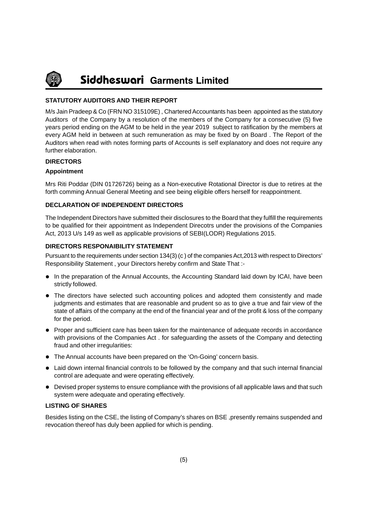

### **STATUTORY AUDITORS AND THEIR REPORT**

M/s Jain Pradeep & Co (FRN NO 315109E) , Chartered Accountants has been appointed as the statutory Auditors of the Company by a resolution of the members of the Company for a consecutive (5) five years period ending on the AGM to be held in the year 2019 subject to ratification by the members at every AGM held in between at such remuneration as may be fixed by on Board . The Report of the Auditors when read with notes forming parts of Accounts is self explanatory and does not require any further elaboration.

#### **DIRECTORS**

#### **Appointment**

Mrs Riti Poddar (DIN 01726726) being as a Non-executive Rotational Director is due to retires at the forth comming Annual General Meeting and see being eligible offers herself for reappointment.

#### **DECLARATION OF INDEPENDENT DIRECTORS**

The Independent Directors have submitted their disclosures to the Board that they fulfill the requirements to be qualified for their appointment as Independent Direcotrs under the provisions of the Companies Act, 2013 U/s 149 as well as applicable provisions of SEBI(LODR) Regulations 2015.

#### **DIRECTORS RESPONAIBILITY STATEMENT**

Pursuant to the requirements under section 134(3) (c ) of the companies Act,2013 with respect to Directors' Responsibility Statement , your Directors hereby confirm and State That :-

- In the preparation of the Annual Accounts, the Accounting Standard laid down by ICAI, have been strictly followed.
- The directors have selected such accounting polices and adopted them consistently and made judgments and estimates that are reasonable and prudent so as to give a true and fair view of the state of affairs of the company at the end of the financial year and of the profit & loss of the company for the period.
- Proper and sufficient care has been taken for the maintenance of adequate records in accordance with provisions of the Companies Act . for safeguarding the assets of the Company and detecting fraud and other irregularities:
- The Annual accounts have been prepared on the 'On-Going' concern basis.
- Laid down internal financial controls to be followed by the company and that such internal financial control are adequate and were operating effectively.
- Devised proper systems to ensure compliance with the provisions of all applicable laws and that such system were adequate and operating effectively.

#### **LISTING OF SHARES**

Besides listing on the CSE, the listing of Company's shares on BSE ,presently remains suspended and revocation thereof has duly been applied for which is pending.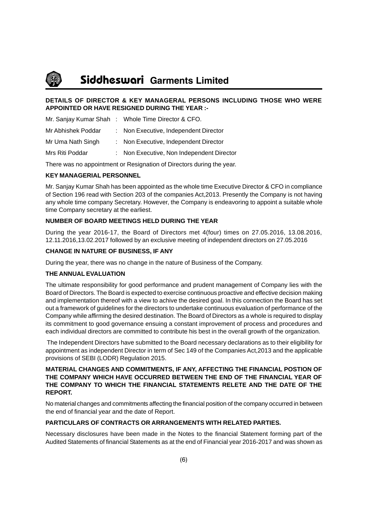

## **DETAILS OF DIRECTOR & KEY MANAGERAL PERSONS INCLUDING THOSE WHO WERE APPOINTED OR HAVE RESIGNED DURING THE YEAR :-** MR. SANJAN SHAP SAND STATES OF DIRECTOR & KEY MANAGERAL PERSON<br>APPOINTED OR HAVE RESIGNED DURING THE YEAR :-<br>Mr. Sanjay Kumar Shah : Whole Time Director & CFO.<br>Mr Abhishek Poddar : Non Executive, Independent Director **DETAILS OF DIRECTOR & KEY MANAGERAL PERSONS INCLI**<br>**APPOINTED OR HAVE RESIGNED DURING THE YEAR :-**<br>Mr. Sanjay Kumar Shah : Whole Time Director & CFO.<br>Mr Abhishek Poddar : Non Executive, Independent Director<br>Mr Uma Nath Si

| Mr. Sanjay Kumar Shah |  | Whole Time Director & CFO. |
|-----------------------|--|----------------------------|
|-----------------------|--|----------------------------|

- 
- 
- APPOINTED OR HAVE RESIGNED DURING THE YEAR :-<br>Mr. Sanjay Kumar Shah : Whole Time Director & CFO.<br>Mr Abhishek Poddar : Non Executive, Independent Director<br>Mr Uma Nath Singh : Non Executive, Indep Mr. Sanjay Kumar Shah : Whole Time Director & CFO.<br>
Mr Abhishek Poddar : Non Executive, Independent Director<br>
Mr Uma Nath Singh : Non Executive, Independent Director<br>
Mrs Riti Poddar : Non Executive, Non Independent Direct

### **KEY MANAGERIAL PERSONNEL**

Mr. Sanjay Kumar Shah has been appointed as the whole time Executive Director & CFO in compliance of Section 196 read with Section 203 of the companies Act,2013. Presently the Company is not having any whole time company Secretary. However, the Company is endeavoring to appoint a suitable whole time Company secretary at the earliest.

### **NUMBER OF BOARD MEETINGS HELD DURING THE YEAR**

During the year 2016-17, the Board of Directors met 4(four) times on 27.05.2016, 13.08.2016, 12.11.2016,13.02.2017 followed by an exclusive meeting of independent directors on 27.05.2016

#### **CHANGE IN NATURE OF BUSINESS, IF ANY**

During the year, there was no change in the nature of Business of the Company.

#### **THE ANNUAL EVALUATION**

The ultimate responsibility for good performance and prudent management of Company lies with the Board of Directors. The Board is expected to exercise continuous proactive and effective decision making and implementation thereof with a view to achive the desired goal. In this connection the Board has set out a framework of guidelines for the directors to undertake continuous evaluation of performance of the Company while affirming the desired destination. The Board of Directors as a whole is required to display its commitment to good governance ensuing a constant improvement of process and procedures and each individual directors are committed to contribute his best in the overall growth of the organization.

 The Independent Directors have submitted to the Board necessary declarations as to their eligibility for appointment as independent Director in term of Sec 149 of the Companies Act,2013 and the applicable provisions of SEBI (LODR) Regulation 2015.

### **MATERIAL CHANGES AND COMMITMENTS, IF ANY, AFFECTING THE FINANCIAL POSTION OF THE COMPANY WHICH HAVE OCCURRED BETWEEN THE END OF THE FINANCIAL YEAR OF THE COMPANY TO WHICH THE FINANCIAL STATEMENTS RELETE AND THE DATE OF THE REPORT.**

No material changes and commitments affecting the financial position of the company occurred in between the end of financial year and the date of Report.

### **PARTICULARS OF CONTRACTS OR ARRANGEMENTS WITH RELATED PARTIES.**

Necessary disclosures have been made in the Notes to the financial Statement forming part of the Audited Statements of financial Statements as at the end of Financial year 2016-2017 and was shown as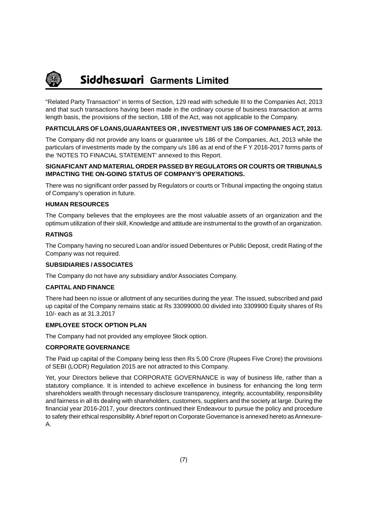

"Related Party Transaction" in terms of Section, 129 read with schedule III to the Companies Act, 2013 and that such transactions having been made in the ordinary course of business transaction at arms length basis, the provisions of the section, 188 of the Act, was not applicable to the Company.

### **PARTICULARS OF LOANS,GUARANTEES OR , INVESTMENT U/S 186 OF COMPANIES ACT, 2013.**

The Company did not provide any loans or guarantee u/s 186 of the Companies, Act, 2013 while the particulars of investments made by the company u/s 186 as at end of the F Y 2016-2017 forms parts of the 'NOTES TO FINACIAL STATEMENT' annexed to this Report.

### **SIGNAFICANT AND MATERIAL ORDER PASSED BY REGULATORS OR COURTS OR TRIBUNALS IMPACTING THE ON-GOING STATUS OF COMPANY'S OPERATIONS.**

There was no significant order passed by Regulators or courts or Tribunal impacting the ongoing status of Company's operation in future.

#### **HUMAN RESOURCES**

The Company believes that the employees are the most valuable assets of an organization and the optimum utilization of their skill, Knowledge and attitude are instrumental to the growth of an organization.

#### **RATINGS**

The Company having no secured Loan and/or issued Debentures or Public Deposit, credit Rating of the Company was not required.

### **SUBSIDIARIES / ASSOCIATES**

The Company do not have any subsidiary and/or Associates Company.

#### **CAPITAL AND FINANCE**

There had been no issue or allotment of any securities during the year. The issued, subscribed and paid up capital of the Company remains static at Rs 33099000.00 divided into 3309900 Equity shares of Rs 10/- each as at 31.3.2017

### **EMPLOYEE STOCK OPTION PLAN**

The Company had not provided any employee Stock option.

#### **CORPORATE GOVERNANCE**

The Paid up capital of the Company being less then Rs 5.00 Crore (Rupees Five Crore) the provisions of SEBI (LODR) Regulation 2015 are not attracted to this Company.

Yet, your Directors believe that CORPORATE GOVERNANCE is way of business life, rather than a statutory compliance. It is intended to achieve excellence in business for enhancing the long term shareholders wealth through necessary disclosure transparency, integrity, accountability, responsibility and fairness in all its dealing with shareholders, customers, suppliers and the society at large. During the financial year 2016-2017, your directors continued their Endeavour to pursue the policy and procedure to safety their ethical responsibility. A brief report on Corporate Governance is annexed hereto as Annexure-A.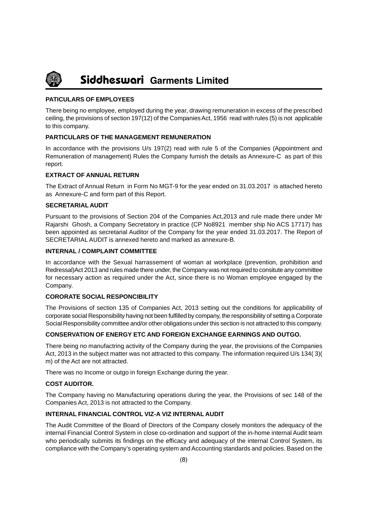

### **PATICULARS OF EMPLOYEES**

There being no employee, employed during the year, drawing remuneration in excess of the prescribed ceiling, the provisions of section 197(12) of the Companies Act, 1956 read with rules (5) is not applicable to this company.

### **PARTICULARS OF THE MANAGEMENT REMUNERATION**

In accordance with the provisions U/s 197(2) read with rule 5 of the Companies (Appointment and Remuneration of management) Rules the Company furnish the details as Annexure-C as part of this report.

### **EXTRACT OF ANNUAL RETURN**

The Extract of Annual Return in Form No MGT-9 for the year ended on 31.03.2017 is attached hereto as Annexure-C and form part of this Report.

### **SECRETARIAL AUDIT**

Pursuant to the provisions of Section 204 of the Companies Act,2013 and rule made there under Mr Rajarshi Ghosh, a Company Secretatory in practice (CP No8921 member ship No ACS 17717) has been appointed as secretarial Auditor of the Company for the year ended 31.03.2017. The Report of SECRETARIAL AUDIT is annexed hereto and marked as annexure-B.

#### **INTERNAL / COMPLAINT COMMITTEE**

In accordance with the Sexual harrassement of woman at workplace (prevention, prohibition and Redressal)Act 2013 and rules made there under, the Company was not required to consitute any committee for necessary action as required under the Act, since there is no Woman employee engaged by the Company.

#### **CORORATE SOCIAL RESPONCIBILITY**

The Provisions of section 135 of Companies Act, 2013 setting out the conditions for applicability of corporate social Responsibility having not been fulfilled by company, the responsibility of setting a Corporate Social Responsibility committee and/or other obligations under this section is not attracted to this company.

#### **CONSERVATION OF ENERGY ETC AND FOREIGN EXCHANGE EARNINGS AND OUTGO.**

There being no manufactring activity of the Company during the year, the provisions of the Companies Act, 2013 in the subject matter was not attracted to this company. The information required U/s 134( 3)( m) of the Act are not attracted.

There was no Income or outgo in foreign Exchange during the year.

### **COST AUDITOR.**

The Company having no Manufacturing operations during the year, the Provisions of sec 148 of the Companies Act, 2013 is not attracted to the Company.

### **INTERNAL FINANCIAL CONTROL VIZ-A VIZ INTERNAL AUDIT**

The Audit Committee of the Board of Directors of the Company closely monitors the adequacy of the internal Financial Control System in close co-ordination and support of the in-home internal Audit team who periodically submits its findings on the efficacy and adequacy of the internal Control System, its compliance with the Company's operating system and Accounting standards and policies. Based on the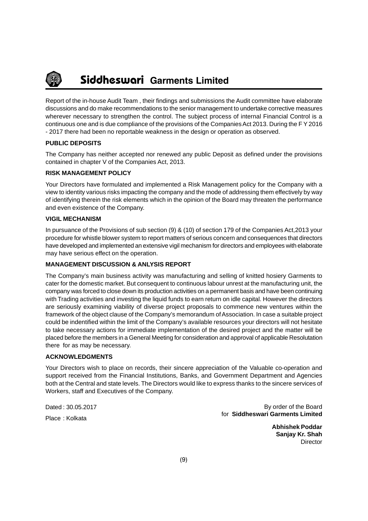

Report of the in-house Audit Team , their findings and submissions the Audit committee have elaborate discussions and do make recommendations to the senior management to undertake corrective measures wherever necessary to strengthen the control. The subject process of internal Financial Control is a continuous one and is due compliance of the provisions of the Companies Act 2013. During the F Y 2016 - 2017 there had been no reportable weakness in the design or operation as observed.

### **PUBLIC DEPOSITS**

The Company has neither accepted nor renewed any public Deposit as defined under the provisions contained in chapter V of the Companies Act, 2013.

#### **RISK MANAGEMENT POLICY**

Your Directors have formulated and implemented a Risk Management policy for the Company with a view to identity various risks impacting the company and the mode of addressing them effectively by way of identifying therein the risk elements which in the opinion of the Board may threaten the performance and even existence of the Company.

#### **VIGIL MECHANISM**

In pursuance of the Provisions of sub section (9) & (10) of section 179 of the Companies Act,2013 your procedure for whistle blower system to report matters of serious concern and consequences that directors have developed and implemented an extensive vigil mechanism for directors and employees with elaborate may have serious effect on the operation.

#### **MANAGEMENT DISCUSSION & ANLYSIS REPORT**

The Company's main business activity was manufacturing and selling of knitted hosiery Garments to cater for the domestic market. But consequent to continuous labour unrest at the manufacturing unit, the company was forced to close down its production activities on a permanent basis and have been continuing with Trading activities and investing the liquid funds to earn return on idle capital. However the directors are seriously examining viability of diverse project proposals to commence new ventures within the framework of the object clause of the Company's memorandum of Association. In case a suitable project could be indentified within the limit of the Company's available resources your directors will not hesitate to take necessary actions for immediate implementation of the desired project and the matter will be placed before the members in a General Meeting for consideration and approval of applicable Resolutation there for as may be necessary.

#### **ACKNOWLEDGMENTS**

support received from the Financial Institutions, Banks, and Government Department and Agencies<br>both at the Central and state levels. The Directors would like to express thanks to the sincere services of<br>Workers, staff and both at the Central and s<br>Workers, staff and Exec<br>Dated : 30.05.2017<br>Place : Kolkata Your Directors wish to place on records, their sincere appreciation of the Valuable co-operation and both at the Central and state levels. The Directors would like to express thanks to the sincere services of Workers, staff and Executives of the Company.

By order of the Board for **Siddheswari Garments Limited**

> **Abhishek Poddar Sanjay Kr. Shah Director**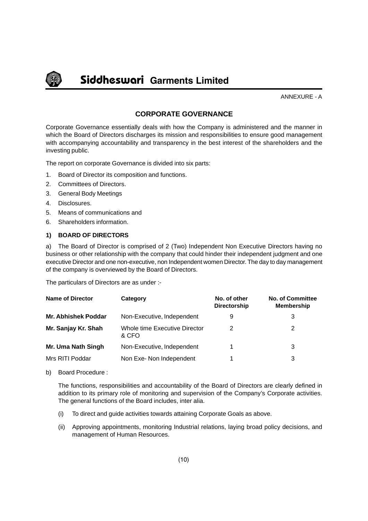

ANNEXURE - A

### **CORPORATE GOVERNANCE**

Corporate Governance essentially deals with how the Company is administered and the manner in which the Board of Directors discharges its mission and responsibilities to ensure good management with accompanying accountability and transparency in the best interest of the shareholders and the investing public. with accompanying accountability and transparency in the university public.<br>
The report on corporate Governance is divided into six p.<br>
1. Board of Director its composition and functions.<br>
2. Committees of Directors.

The report on corporate Governance is divided into six parts: investing public.<br>1. Export on corporate Governan<br>1. Board of Director its composit<br>2. Committees of Directors.<br>3. General Body Meetings The report on corporate Governance<br>1. Board of Director its composition<br>2. Committees of Directors.<br>3. General Body Meetings<br>4. Disclosures.

- 1. Board of Director its composition and functions.<br>
2. Committees of Directors.<br>
3. General Body Meetings<br>
4. Disclosures.
- 
- 
- 
- France of Directors.<br>
1. Committees of Directors.<br>
3. General Body Meetings<br>
4. Disclosures.<br>
5. Means of communications and<br>
6. Shareholders information. 5. Means of communications and<br>6. Shareholders information.<br>1) BOARD OF DIRECTORS
- 

a) The Board of Director is comprised of 2 (Two) Independent Non Executive Directors having no 5. Means of communications and<br> **a) BOARD OF DIRECTORS**<br>
a) The Board of Director is comprised of 2 (Two) Independent Non Executive Directors having no<br>
business or other relationship with the company that could hinder the executive Director and one non-executive, non Independent women Director. The day to day management of the company is overviewed by the Board of Directors.

The particulars of Directors are as under :-

| <b>Name of Director</b>       | Category                                                                                            | No. of other<br><b>Directorship</b> | <b>No. of Committee</b><br><b>Membership</b> |
|-------------------------------|-----------------------------------------------------------------------------------------------------|-------------------------------------|----------------------------------------------|
| <b>Mr. Abhishek Poddar</b>    | Non-Executive, Independent                                                                          | 9                                   | 3                                            |
| Mr. Sanjay Kr. Shah           | Whole time Executive Director<br>& CFO                                                              | 2                                   | 2                                            |
| Mr. Uma Nath Singh            | Non-Executive, Independent                                                                          |                                     | 3                                            |
| Mrs RITI Poddar               | Non Exe- Non Independent                                                                            |                                     | 3                                            |
| <b>Board Procedure:</b><br>b) |                                                                                                     |                                     |                                              |
|                               | The functions, responsibilities and accountability of the Board of Directors are clearly defined in |                                     |                                              |

The functions, responsibilities and accountability of the Board of Directors are clearly defined in addition to its primary role of monitoring and supervision of the Company's Corporate activities. The general functions of the Board includes, inter alia. (ii) The functions, responsibilities and accountability of the Board of Directors are clear<br>addition to its primary role of monitoring and supervision of the Company's Corpor<br>The general functions of the Board includes, in

- 
- (i) Approving appointments, monitoring and supervision of the Company's Corporate activities.<br>
The general functions of the Board includes, inter alia.<br>
(i) To direct and guide activities towards attaining Corporate Goals management of Human Resources.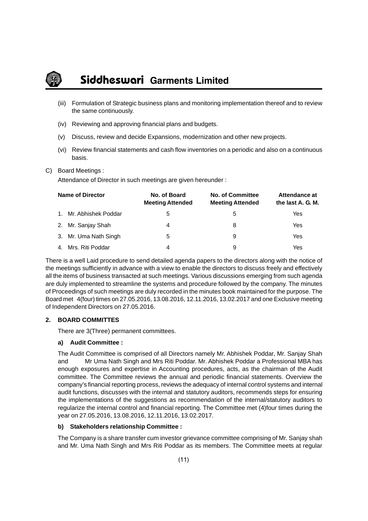- **Siddheswari** Garments Limited<br>(iii) Formulation of Strategic business plans and monitoring implementation thereof and to review<br>the same continuously. the same continuously. (iii) Formulation of Strategic business plans and monitoring implementation thereof and the same continuously.<br>
(iv) Reviewing and approving financial plans and budgets.<br>
(v) Discuss, review and decide Expansions, moderniz
- 
- (iv) Reviewing and approving financial plans and budgets.<br>(v) Discuss, review and decide Expansions, modernization and other new projects.
- (vi) Review financial statements and cash flow inventories on a periodic and also on a continuous basis. (v) Discuss, review<br>
(vi) Review financial<br>
basis.<br>
C) Board Meetings :<br>
Attendance of Directo

Attendance of Director in such meetings are given hereunder :

|                         |                        | Attendance of Director in such meetings are given nereunder :                                         |                                                    |                                    |
|-------------------------|------------------------|-------------------------------------------------------------------------------------------------------|----------------------------------------------------|------------------------------------|
| <b>Name of Director</b> |                        | No. of Board<br><b>Meeting Attended</b>                                                               | <b>No. of Committee</b><br><b>Meeting Attended</b> | Attendance at<br>the last A. G. M. |
|                         | 1. Mr. Abhishek Poddar | 5                                                                                                     | 5                                                  | Yes                                |
| 2. Mr. Sanjay Shah      |                        | 4                                                                                                     | 8                                                  | Yes                                |
|                         | 3. Mr. Uma Nath Singh  | 5                                                                                                     | 9                                                  | Yes                                |
| 4. Mrs. Riti Poddar     |                        | 4                                                                                                     | 9                                                  | Yes                                |
|                         |                        | te is a well I aid procedure to send detailed agenda papers to the directors along with the notice of |                                                    |                                    |

There is a well Laid procedure to send detailed agenda papers to the directors along with the notice of the meetings sufficiently in advance with a view to enable the directors to discuss freely and effectively all the items of business transacted at such meetings. Various discussions emerging from such agenda are duly implemented to streamline the systems and procedure followed by the company. The minutes of Proceedings of such meetings are duly recorded in the minutes book maintained for the purpose. The Board met 4(four) times on 27.05.2016, 13.08.2016, 12.11.2016, 13.02.2017 and one Exclusive meeting of Independent Directors on 27.05.2016. Examples of Such meetings are different of Proceedings of such meetings are different Directors on 27.05.2016<br>**2. BOARD COMMITTES**<br>There are 3(Three) permanent complement of

There are 3(Three) permanent committees.

**BOARD COMMITTES**<br>**There are 3(Three) permaner**<br>**a)** Audit Committee :<br>The Audit Committee is comp The Audit Committee is comprised of all Directors namely Mr. Abhishek Poddar, Mr. Sanjay Shah and Mr Uma Nath Singh and Mrs Riti Poddar. Mr. Abhishek Poddar a Professional MBA has enough exposures and expertise in Accounting procedures, acts, as the chairman of the Audit committee. The Committee reviews the annual and periodic financial statements. Overview the company's financial reporting process, reviews the adequacy of internal control systems and internal audit functions, discusses with the internal and statutory auditors, recommends steps for ensuring the implementations of the suggestions as recommendation of the internal/statutory auditors to regularize the internal control and financial reporting. The Committee met (4)four times during the year on 27.05.2016, 13.08.2016, 12.11.2016, 13.02.2017. audit functions, discusses with the internal and state<br>the implementations of the suggestions as recomm<br>regularize the internal control and financial reportin-<br>year on 27.05.2016, 13.08.2016, 12.11.2016, 13.02<br>**b)** Stakeho

The Company is a share transfer cum investor grievance committee comprising of Mr. Sanjay shah and Mr. Uma Nath Singh and Mrs Riti Poddar as its members. The Committee meets at regular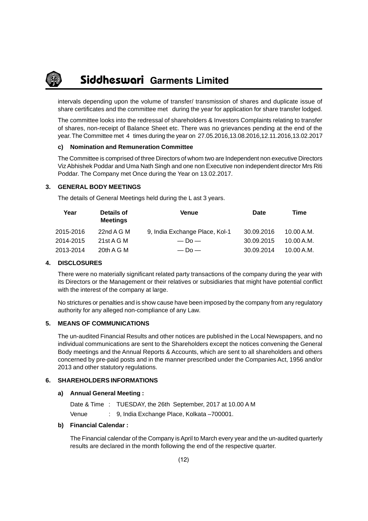

intervals depending upon the volume of transfer/ transmission of shares and duplicate issue of share certificates and the committee met during the year for application for share transfer lodged.

The committee looks into the redressal of shareholders & Investors Complaints relating to transfer of shares, non-receipt of Balance Sheet etc. There was no grievances pending at the end of the year. The Committee met 4 times during the year on 27.05.2016,13.08.2016,12.11.2016,13.02.2017 The committee looks into the redressal of shareholders & Investors Complaints relating to transfer<br>of shares, non-receipt of Balance Sheet etc. There was no grievances pending at the end of the<br>year. The Committee met 4 ti

Viz Abhishek Poddar and Uma Nath Singh and one non Executive non independent director Mrs Riti Poddar. The Company met Once during the Year on 13.02.2017.

### **3. GENERAL BODY MEETINGS**

| Year      | Details of<br><b>Meetings</b> | <b>Venue</b>                   | Date       | Time       |
|-----------|-------------------------------|--------------------------------|------------|------------|
| 2015-2016 | 22nd A G M                    | 9, India Exchange Place, Kol-1 | 30.09.2016 | 10.00 A.M. |
| 2014-2015 | 21st A G M                    | $-$ Do $-$                     | 30.09.2015 | 10.00 A.M. |
| 2013-2014 | 20th A G M                    | $-$ Do $-$                     | 30.09.2014 | 10.00 A.M. |

#### **4. DISCLOSURES**

There were no materially significant related party transactions of the company during the year with its Directors or the Management or their relatives or subsidiaries that might have potential conflict with the interest of the company at large.

No strictures or penalties and is show cause have been imposed by the company from any regulatory authority for any alleged non-compliance of any Law. with the interest of the company at large.<br>
No strictures or penalties and is show cause has<br>
authority for any alleged non-compliance of a<br>
5. MEANS OF COMMUNICATIONS<br>
The un-audited Financial Results and other n

The un-audited Financial Results and other notices are published in the Local Newspapers, and no individual communications are sent to the Shareholders except the notices convening the General Body meetings and the Annual Reports & Accounts, which are sent to all shareholders and others<br>concerned by pre-paid posts and in the manner prescribed under the Companies Act, 1956 and/or<br>2013 and other statutory regulati concerned by pre-paid posts and in the manner prescribed under the Companies Act, 1956 and/or 2013 and other statutory regulations. **a) Concerned by pre-paid posts and in the 2013 and other statutory regulations.<br>
<b>SHAREHOLDERS INFORMATIONS**<br> **a)** Annual General Meeting :<br>
Date & Time : TUESDAY, the 2

### **a)** Annual General Meeting:

REHOLDERS INFORMATIONS<br>Annual General Meeting :<br>Date & Time : TUESDAY, the 26th September, 2017 at 10.00 A M<br>Venue : 9, India Exchange Place, Kolkata –700001. **6. SHAREHOLDERS INFORMATIONS<br>
a) Annual General Meeting :<br>
Date & Time : TUESDAY, the 26th September, 2017 at 10.00 A M<br>
Venue : 9, India Exchange Place, Kolkata –700001.<br>
b) Financial Calendar :** 

The Financial calendar of the Company is April to March every year and the un-audited quarterly results are declared in the month following the end of the respective quarter.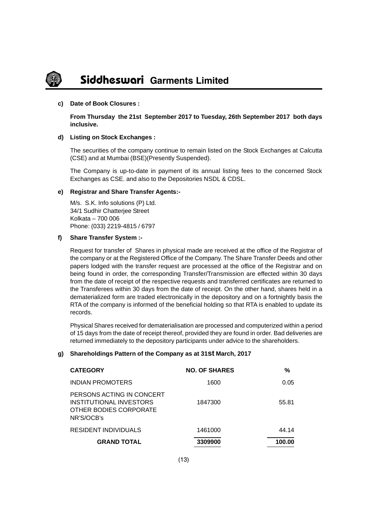

**From Thursday the 21st September 2017 to Tuesday, 26th September 2017 both days inclusive. c)** Date of Book Closures :<br>From Thursday the 21st Sep<br>inclusive.<br>d) Listing on Stock Exchanges :

The securities of the company continue to remain listed on the Stock Exchanges at Calcutta (CSE) and at Mumbai (BSE)(Presently Suspended).

The Company is up-to-date in payment of its annual listing fees to the concerned Stock Exchanges as CSE. and also to the Depositories NSDL & CDSL. (CSE) and at Mumbai (BSE)(Presently Susper<br>The Company is up-to-date in payment of it<br>Exchanges as CSE. and also to the Depositori<br>**e)** Registrar and Share Transfer Agents:-<br>M/s. S.K. Info solutions (P) Ltd.

M/s. S.K. Info solutions (P) Ltd. 34/1 Sudhir Chatterjee Street Kolkata – 700 006 Phone: (033) 2219-4815 / 6797 M/s. S.K. Info solutions (P) Ltd.<br>34/1 Sudhir Chatterjee Street<br>Kolkata – 700 006<br>Phone: (033) 2219-4815 / 6797<br>**f)** Share Transfer System :-<br>Request for transfer of Shares i

Request for transfer of Shares in physical made are received at the office of the Registrar of the company or at the Registered Office of the Company. The Share Transfer Deeds and other papers lodged with the transfer request are processed at the office of the Registrar and on being found in order, the corresponding Transfer/Transmission are effected within 30 days from the date of receipt of the respective requests and transferred certificates are returned to the Transferees within 30 days from the date of receipt. On the other hand, shares held in a dematerialized form are traded electronically in the depository and on a fortnightly basis the RTA of the company is informed of the beneficial holding so that RTA is enabled to update its records.

Physical Shares received for dematerialisation are processed and computerized within a period<br>
of 15 days from the date of receipt thereof, provided they are found in order. Bad deliveries are<br>
returned immediately to the of 15 days from the date of receipt thereof, provided they are found in order. Bad deliveries are returned immediately to the depository participants under advice to the shareholders.

| Shareholdings Pattern of the Company as at 31St March, 2017                                  |                                |        |  |  |  |  |
|----------------------------------------------------------------------------------------------|--------------------------------|--------|--|--|--|--|
| <b>CATEGORY</b>                                                                              | <b>NO. OF SHARES</b>           | %      |  |  |  |  |
| <b>INDIAN PROMOTERS</b>                                                                      | 1600                           | 0.05   |  |  |  |  |
| PERSONS ACTING IN CONCERT<br>INSTITUTIONAL INVESTORS<br>OTHER BODIES CORPORATE<br>NR'S/OCB's | 1847300                        | 55.81  |  |  |  |  |
| <b>RESIDENT INDIVIDUALS</b>                                                                  | 1461000                        | 44.14  |  |  |  |  |
| <b>GRAND TOTAL</b>                                                                           | 3309900                        | 100.00 |  |  |  |  |
|                                                                                              | $\cdot$ $\cdot$ $\sim$ $\cdot$ |        |  |  |  |  |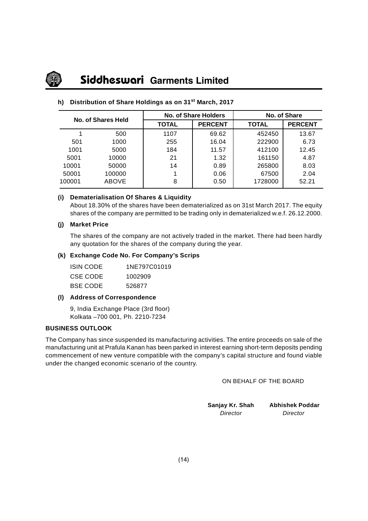

# **Siddheswari Garments Limited h) Distribution of Share Holdings as on 31<sup>st</sup> March, 2017<br>
<b>h)** Distribution of Share Holdings as on 31<sup>st</sup> March, 2017<br>
No. of Share Holders

|        |                    |              | <b>No. of Share Holders</b> |              | No. of Share   |
|--------|--------------------|--------------|-----------------------------|--------------|----------------|
|        | No. of Shares Held | <b>TOTAL</b> | <b>PERCENT</b>              | <b>TOTAL</b> | <b>PERCENT</b> |
|        | 500                | 1107         | 69.62                       | 452450       | 13.67          |
| 501    | 1000               | 255          | 16.04                       | 222900       | 6.73           |
| 1001   | 5000               | 184          | 11.57                       | 412100       | 12.45          |
| 5001   | 10000              | 21           | 1.32                        | 161150       | 4.87           |
| 10001  | 50000              | 14           | 0.89                        | 265800       | 8.03           |
| 50001  | 100000             |              | 0.06                        | 67500        | 2.04           |
| 100001 | ABOVE              | 8            | 0.50                        | 1728000      | 52.21          |

shares of the company are permitted to be trading only in dematerialized w.e.f. 26.12.2000. (i) Dematerialisation Of Shares & Liquidity<br>About 18.30% of the shares have been dem<br>shares of the company are permitted to be tr<br>(i) Market Price

The shares of the company are not actively traded in the market. There had been hardly any quotation for the shares of the company during the year. (**j**) Market Price<br>The shares of the company are not actively traded in t<br>any quotation for the shares of the company during the<br>(**k**) Exchange Code No. For Company's Scrips<br>ISIN CODE 1NE797C01019

|     | 9, India Exchange Place (3rd floor) |              |
|-----|-------------------------------------|--------------|
| (I) | <b>Address of Correspondence</b>    |              |
|     | <b>BSE CODE</b>                     | 526877       |
|     | CSE CODE                            | 1002909      |
|     | <b>ISIN CODE</b>                    | 1NE797C01019 |

Kolkata –700 001, Ph. 2210-7234

### **BUSINESS OUTLOOK**

The Company has since suspended its manufacturing activities. The entire proceeds on sale of the manufacturing unit at Prafula Kanan has been parked in interest earning short-term deposits pending commencement of new venture compatible with the company's capital structure and found viable under the changed economic scenario of the country.

ON BEHALF OF THE BOARD

**Sanjay Kr. Shah** *Director* **Abhishek Poddar** *Director*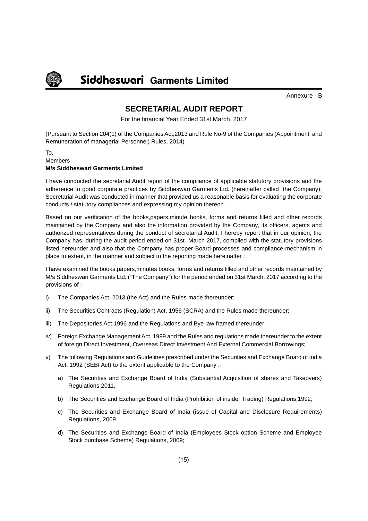

Annexure - B

### **SECRETARIAL AUDIT REPORT**

For the financial Year Ended 31st March, 2017

(Pursuant to Section 204(1) of the Companies Act,2013 and Rule No-9 of the Companies (Appointment and Remuneration of managerial Personnel) Rules, 2014)

To,

#### Members

### **M/s Siddheswari Garments Limited**

I have conducted the secretarial Audit report of the compliance of applicable statutory provisions and the adherence to good corporate practices by Siddheswari Garments Ltd. (hereinafter called the Company). Secretarial Audit was conducted in manner that provided us a reasonable basis for evaluating the corporate conducts / statutory compliances and expressing my opinion thereon.

Based on our verification of the books,papers,minute books, forms and returns filled and other records maintained by the Company and also the information provided by the Company, its officers, agents and authorized representatives during the conduct of secretarial Audit, I hereby report that in our opinion, the Company has, during the audit period ended on 31st March 2017, complied with the statutory provisions listed hereunder and also that the Company has proper Board-processes and compliance-mechanism in place to extent, in the manner and subject to the reporting made hereinafter :

I have examined the books,papers,minutes books, forms and returns filled and other records maintained by M/s Siddheswari Garments Ltd. ("The Company") for the period ended on 31st March, 2017 according to the provisions of :- I have examined the books,papers,minutes books, forms and returns filled and<br>
M/s Siddheswari Garments Ltd. ("The Company") for the period ended on 31st<br>
provisions of :-<br>
i) The Companies Act, 2013 (the Act) and the Rules

- 
- i) The Companies Act, 2013 (the Act) and the Rules made thereunder;<br>ii) The Securities Contracts (Regulation) Act, 1956 (SCRA) and the Rules made thereunder;
- 
- iii) The Depositories Act,1996 and the Regulations and Bye law framed thereunder;<br>iv) Foreign Exchange Management Act, 1999 and the Rules and regulations made thereunder to the extent ii) The Securities Contracts (Regulation) Act, 1956 (SCRA) and the Rules made thereunder;<br>
iii) The Depositories Act, 1996 and the Regulations and Bye law framed thereunder;<br>
iv) Foreign Exchange Management Act, 1999 and t III) The Depositories Act, 1996 and the Regulations and Bye law framed thereunder;<br>iv) Foreign Exchange Management Act, 1999 and the Rules and regulations made thereunder to the extent<br>of foreign Direct Investment, Oversea
- Act, 1992 (SEBI Act) to the extent applicable to the Company : or foreign Direct Investment, Overseas Direct Investment And External Commercial Borrowings;<br>The following Regulations and Guidelines prescribed under the Securities and Exchange Board of India<br>Act, 1992 (SEBI Act) to the
	- Regulations 2011. Act, 1992 (SEBI Act) to the extent applicable to the Company :-<br>
	a) The Securities and Exchange Board of India (Substantial Acquisition of shares and Takeovers)<br>
	Regulations 2011.<br>
	b) The Securities and Exchange Board of I
	-
	- a) The Securities and Exchange Board of India (Substantial Acquisition of shares and Takeovers)<br>Regulations 2011.<br>b) The Securities and Exchange Board of India (Prohibition of insider Trading) Regulations, 1992;<br>c) The Sec Regulations, 2009 d) The Securities and Exchange Board of India (Prohibition of insider Trading) Regulations, 1992;<br>c) The Securities and Exchange Board of India (issue of Capital and Disclosure Requirements)<br>d) The Securities and Exchange
	- Stock purchase Scheme) Regulations, 2009;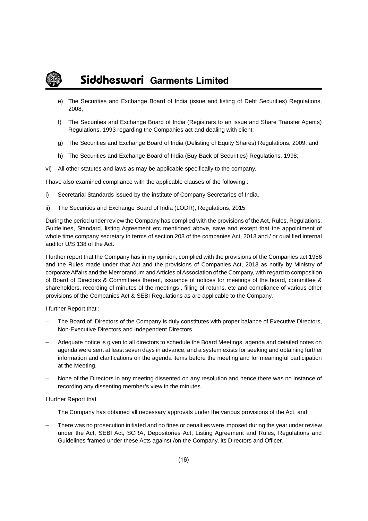

- **Siddheswari Garments Limited**<br>
e) The Securities and Exchange Board of India (issue and listing of Debt Securities) Regulations,<br>
2008; 2008;
- Filmer Securities and Exchange Board of India (issue and listing of Debt Securities) Regulations,<br>
1908;<br>
The Securities and Exchange Board of India (Registrars to an issue and Share Transfer Agents)<br>
Regulations, 1993 reg Regulations, 1993 regarding the Companies act and dealing with client; 2008;<br>f) The Securities and Exchange Board of India (Registrars to an issue and Share Transfer Agents)<br>Regulations, 1993 regarding the Companies act and dealing with client;<br>g) The Securities and Exchange Board of India (D Frank The Securities and Exchange Board of India (Registrars to an issue and Share Transfer Age<br>Regulations, 1993 regarding the Companies act and dealing with client;<br>g) The Securities and Exchange Board of India (Delistin
- 
- 
- g) The Securities and Exchange Board of India (Delisting of Equity Shares) Reg<br>h) The Securities and Exchange Board of India (Buy Back of Securities) Regula<br>vi) All other statutes and laws as may be applicable specifically

I have also examined compliance with the applicable clauses of the following :

- i) All other statutes and laws as may be applicable specifically to the company.<br>
I have also examined compliance with the applicable clauses of the following :<br>
i) Secretarial Standards issued by the institute of Company
- The Securities and Exchange Board of India (LODR), Regulations, 2015.

During the period under review the Company has complied with the provisions of the Act, Rules, Regulations, Guidelines, Standard, listing Agreement etc mentioned above, save and except that the appointment of whole time company secretary in terms of section 203 of the companies Act, 2013 and / or qualified internal auditor U/S 138 of the Act.

I further report that the Company has in my opinion, complied with the provisions of the Companies act,1956 and the Rules made under that Act and the provisions of Companies Act, 2013 as notify by Ministry of corporate Affairs and the Memorandum and Articles of Association of the Company, with regard to composition of Board of Directors & Committees thereof, issuance of notices for meetings of the board, committee & shareholders, recording of minutes of the meetings , filling of returns, etc and compliance of various other provisions of the Companies Act & SEBI Regulations as are applicable to the Company.

I further Report that :-

- shareholders, recording of minutes of the meetings, filling of returns, etc and compliance of various other<br>provisions of the Companies Act & SEBI Regulations as are applicable to the Company.<br>I further Report that :-<br>The Non-Executive Directors and Independent Directors.
- Further Report that :-<br>
 The Board of Directors of the Company is duly constitutes with proper balance of Executive Directors,<br>
Non-Executive Directors and Independent Directors.<br>
 Adequate notice is given to all directo Fracquate nexted by given to an ancetors to somedate the Board moothings, agental and detained nexted on<br>agenda were sent at least seven days in advance, and a system exists for seeking and obtaining further<br>information an information and clarifications on the agenda items before the meeting and for meaningful participation at the Meeting.
- recording any dissenting member's view in the minutes.

I further Report that

The Company has obtained all necessary approvals under the various provisions of the Act, and

I further Report that<br>
The Company has obtained all necessary approvals under the various provisions of the Act, and<br>
- There was no prosecution initiated and no fines or penalties were imposed during the year under review Guidelines framed under these Acts against /on the Company, its Directors and Officer.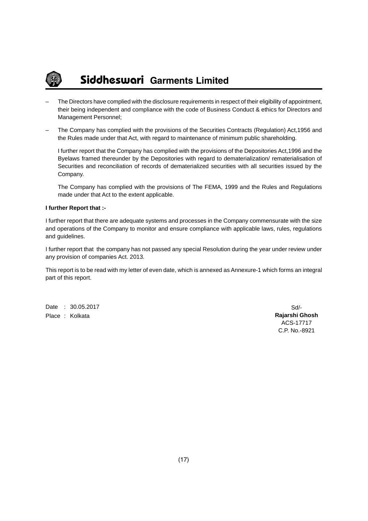

- Siddheswari Garments Limited<br>- The Directors have complied with the disclosure requirements in respect of their eligibility of appointment,<br>their being independent and compliance with the code of Business Conduct & ethics their being independent and compliance with the code of Business Conduct & ethics for Directors and Management Personnel; The Directors have complied with the disclosure requirements in respect of their eligibility of appointment,<br>their being independent and compliance with the code of Business Conduct & ethics for Directors and<br>Management Pe
- the Rules made under that Act, with regard to maintenance of minimum public shareholding.

I further report that the Company has complied with the provisions of the Depositories Act,1996 and the Byelaws framed thereunder by the Depositories with regard to dematerialization/ rematerialisation of Securities and reconciliation of records of dematerialized securities with all securities issued by the Company.

The Company has complied with the provisions of The FEMA, 1999 and the Rules and Regulations made under that Act to the extent applicable.

#### **I further Report that :-**

I further report that there are adequate systems and processes in the Company commensurate with the size and operations of the Company to monitor and ensure compliance with applicable laws, rules, regulations and guidelines.

I further report that the company has not passed any special Resolution during the year under review under any provision of companies Act. 2013.

This report is to be read with my letter of even date, which is annexed as Annexure-1 which forms an integral part of this report.

part of this report.<br>Date : 30.05.2017<br>Place : Kolkata .<br>Date : 30.05.2017<br>Place : Kolkata

Sd/- **Rajarshi Ghosh** ACS-17717 C.P. No.-8921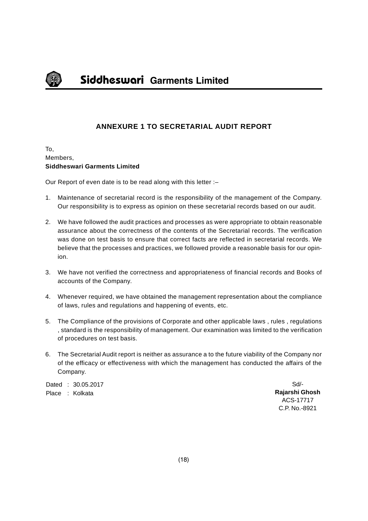### **ANNEXURE 1 TO SECRETARIAL AUDIT REPORT**

To, Members, **Siddheswari Garments Limited**

Our Report of even date is to be read along with this letter :–

- Siddheswari Garments Limited<br>Our Report of even date is to be read along with this letter :–<br>1. Maintenance of secretarial record is the responsibility of the management of the Company.<br>Our responsibility is to express as
- 2. Maintenance of secretarial record is the responsibility of the management of the Company.<br>
2. We have followed the audit practices and processes as were appropriate to obtain reasonable<br>
2. We have followed the audit pr assurance about the correctness of the contents of the Secretarial records. The verification was done on test basis to ensure that correct facts are reflected in secretarial records. We believe that the processes and practices, we followed provide a reasonable basis for our opinion.<br>3. We have not verified the cor believe that the processes and practices, we followed provide a reasonable basis for our opinion.
- accounts of the Company. 4. We have not verified the correctness and appropriateness of financial records and Books of accounts of the Company.<br>4. Whenever required, we have obtained the management representation about the compliance
- of laws, rules and regulations and happening of events, etc.
- 4. Whenever required, we have obtained the management representation about the compliance<br>of laws, rules and regulations and happening of events, etc.<br>5. The Compliance of the provisions of Corporate and other applicable l of procedures on test basis. 5. The Compliance of the provisions of Corporate and other applicable laws, rules, regulations<br>5. standard is the responsibility of management. Our examination was limited to the verification<br>6. The Secretarial Audit repor
- of the efficacy or effectiveness with which the management has conducted the affairs of the Company. 6. The Secretarial Audit report is neither as assurance a to the future viability of the Company nor<br>of the efficacy or effectiveness with which the management has conducted the affairs of the<br>Company.<br>Dated : 30.05.2017<br>P

Dated : 30.05.2017

Sd/- **Rajarshi Ghosh** ACS-17717 C.P. No.-8921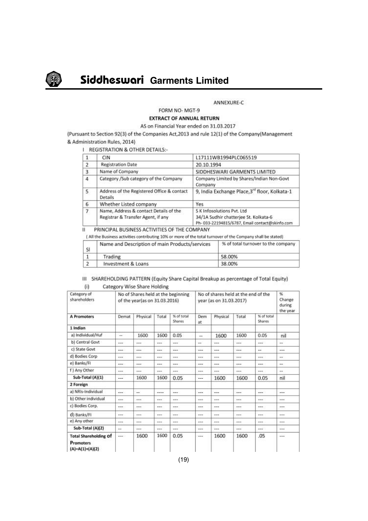

#### ANNEXURE-C

### FORM NO-MGT-9

### **EXTRACT OF ANNUAL RETURN**

### AS on Financial Year ended on 31.03.2017

(Pursuant to Section 92(3) of the Companies Act, 2013 and rule 12(1) of the Company(Management & Administration Rules, 2014)

I REGISTRATION & OTHER DETAILS:-

| 1              | CIN                                                                          | L17111WB1994PLC065519                                                                                                  |
|----------------|------------------------------------------------------------------------------|------------------------------------------------------------------------------------------------------------------------|
| $\overline{2}$ | <b>Registration Date</b>                                                     | 20.10.1994                                                                                                             |
| 3              | Name of Company                                                              | SIDDHESWARI GARMENTS LIMITED                                                                                           |
| 4              | Category /Sub category of the Company                                        | Company Limited by Shares/Indian Non-Govt<br>Company                                                                   |
| 5              | Address of the Registered Office & contact<br>Details                        | 9, India Exchange Place, 3rd floor, Kolkata-1                                                                          |
| 6              | Whether Listed company                                                       | Yes                                                                                                                    |
| 7              | Name, Address & contact Details of the<br>Registrar & Transfer Agent, if any | S K Infosolutions Pvt. Ltd<br>34/1A Sudhir chatterjee St. Kolkata-6<br>Ph- 033-22194815/6787, Email contact@skinfo.com |

PRINCIPAL BUSINESS ACTIVITIES OF THE COMPANY

( All the Business activities contributing 10% or more of the total turnover of the Company shall be stated)

| <b>SI</b> | Name and Description of main Products/services | % of total turnover to the company |
|-----------|------------------------------------------------|------------------------------------|
|           | Trading                                        | 58.00%                             |
|           | Investment & Loans                             | 38.00%                             |

#### III SHAREHOLDING PATTERN (Equity Share Capital Breakup as percentage of Total Equity)  $(i)$ Category Wise Share Holding

| Category of<br>shareholders                                           |                | of the year(as on 31.03.2016) |              | No of Shares held at the beginning | No of shares held at the end of the<br>year (as on 31.03.2017) |              |               |                      | %<br>Change<br>during<br>the year |
|-----------------------------------------------------------------------|----------------|-------------------------------|--------------|------------------------------------|----------------------------------------------------------------|--------------|---------------|----------------------|-----------------------------------|
| <b>A Promoters</b>                                                    | Demat          | Physical                      | Total        | % of total<br>Shares               | Dem<br>at                                                      | Physical     | Total         | % of total<br>Shares |                                   |
| 1 Indian                                                              |                |                               |              |                                    |                                                                |              |               |                      |                                   |
| a) Individual/Huf                                                     | $\sim$         | 1600                          | 1600         | 0.05                               | $\overline{\phantom{a}}$                                       | 1600         | 1600          | 0.05                 | nil                               |
| b) Central Govt                                                       | sinin-         | 1004                          | sin so       | $***$                              | $+1$                                                           | www          | $***$         | mem.                 | $\cdots$                          |
| c) State Govt                                                         | $-$            | $\cdots$                      | $-1$         | ---                                | ---                                                            | $- - -$      | ---           | $\sim$               | $\cdots$                          |
| d) Bodies Corp.                                                       | <b>WWW</b>     | 2222                          | www.         | <b>STEE</b>                        | <b>Brand</b>                                                   | terms.       | $***$         | <b>MAY 1997</b>      | $\alpha = 1$                      |
| e) Banks/FI                                                           | $- - -$        | $- - -$                       | ---          | ---                                | ---                                                            | ---          | $-$           | ---                  | ×.                                |
| f ) Any Other                                                         | $-0.00$        | $n = n$                       | $m = m$      | 1.11                               | ---                                                            | 10.01        | on a          | $m = m$              | $\sim$                            |
| Sub-Total (A)(1)                                                      | ---            | 1600                          | 1600         | 0.05                               | ---                                                            | 1600         | 1600          | 0.05                 | nil                               |
| 2 Foreign                                                             |                |                               |              |                                    |                                                                |              |               |                      |                                   |
| a) NRIs-Individual                                                    | ---            | $\overline{\phantom{a}}$      | ----         | ---                                | ---                                                            | ---          | ---           | ---                  | ---                               |
| b) Other individual                                                   | <b>NORTHER</b> | $m = 1$                       | <b>MONTH</b> | ---                                | <b>SCHOOL</b>                                                  | <b>MONTH</b> | 10000         | <b>SERVICE</b>       | $n = n$                           |
| c) Bodies Corp.                                                       | ---            | $- - -$                       | $-1$         | ---                                | $***$                                                          | ---          | ---           | $- - -$              | $\cdots$                          |
| d) Banks/Fl                                                           | st mm          | min is                        | <b>WIND</b>  | sistem.                            | minim                                                          | term not     | <b>With B</b> | <b>MARK</b>          | <b>WELL</b>                       |
| e) Any other                                                          | ---            | $---$                         | $\sim$       | $\cdots$                           | $\cdots$                                                       | $- - -$      | ---           | $- - -$              | $-$                               |
| Sub-Total (A)(2)                                                      | $\sim$         | 1000                          | sin so       | <b>STATE</b>                       | www.                                                           | ter to car   | 222           | <b>HEM</b>           | <b>NEW</b>                        |
| <b>Total Shareholding Of</b><br><b>Promoters</b><br>$(A)=A(1)+(A)(2)$ | ---            | 1600                          | 1600         | 0.05                               | ---                                                            | 1600         | 1600          | .05                  | $\cdots$                          |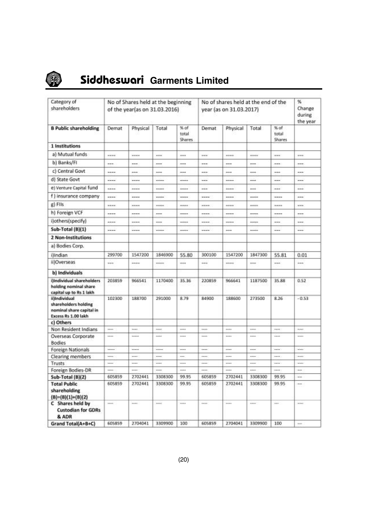

| Category of<br>shareholders                                                                     |               | No of Shares held at the beginning<br>of the year(as on 31.03.2016) |             |                         |               | No of shares held at the end of the<br>year (as on 31.03.2017) |             |                           | $\frac{96}{25}$<br>Change<br>during<br>the year |
|-------------------------------------------------------------------------------------------------|---------------|---------------------------------------------------------------------|-------------|-------------------------|---------------|----------------------------------------------------------------|-------------|---------------------------|-------------------------------------------------|
| <b>B Public shareholding</b>                                                                    | Demat         | Physical                                                            | Total       | % of<br>total<br>Shares | Demat         | Physical                                                       | Total       | $%$ of<br>total<br>Shares |                                                 |
| 1 Institutions                                                                                  |               |                                                                     |             |                         |               |                                                                |             |                           |                                                 |
| a) Mutual funds                                                                                 | <b>HOTEL</b>  | ener                                                                | <b>HEM</b>  | $\frac{1}{2}$           | $***$         | <b>WEND</b>                                                    | <b>HEND</b> | $***$                     | $***$                                           |
| b) Banks/FI                                                                                     | ---           | ---                                                                 | ---         | ---                     | ---           | ---                                                            | ---         | ---                       | ---                                             |
| c) Central Govt                                                                                 | ---           | ---                                                                 | ---         | ---                     | ---           | ---                                                            | ---         | ---                       | ---                                             |
| d) State Govt                                                                                   | ----          | ----                                                                | ----        | ----                    | ---           | ----                                                           | ---         | ---                       | ---                                             |
| e) Venture Capital fund                                                                         | ---           | ---                                                                 | ---         | ----                    | m             | ----                                                           | $***$       |                           | ذمت                                             |
| f) insurance company                                                                            | ----          | ----                                                                | ----        | ----                    | ----          | ----                                                           | ----        | ----                      | ---                                             |
| g) Fils                                                                                         | ---           | ----                                                                | ----        | ----                    | ---           | ----                                                           | ---         | ----                      | an an ing                                       |
| h) Foreign VCF                                                                                  | ----          | ----                                                                | ---         | ----                    | ---           | ----                                                           |             | ----                      | ---                                             |
| i)others(specify)                                                                               |               |                                                                     |             |                         |               |                                                                | ****        |                           |                                                 |
| Sub-Total (B)(1)                                                                                | ****          | ----                                                                |             | ****                    | ---           | ----                                                           | ****        | ---                       | ---                                             |
| 2 Non-Institutions                                                                              | ----          | ----                                                                | ----        | ----                    | <b>waste</b>  | $\overline{\phantom{a}}$                                       | ----        | ---                       | ---                                             |
|                                                                                                 |               |                                                                     |             |                         |               |                                                                |             |                           |                                                 |
| a) Bodies Corp.                                                                                 |               |                                                                     |             |                         |               |                                                                |             |                           |                                                 |
| i)Indian                                                                                        | 299700        | 1547200                                                             | 1846900     | 55.80                   | 300100        | 1547200                                                        | 1847300     | 55.81                     | 0.01                                            |
| ii)Overseas                                                                                     | $***$         |                                                                     |             | $***$                   | min.          | minim                                                          | ***         | sind.                     | inn.                                            |
| b) Individuals                                                                                  |               |                                                                     |             |                         |               |                                                                |             |                           |                                                 |
| illndividual shareholders<br>holding nominal share<br>capital up to Rs 1 lakh                   | 203859        | 966541                                                              | 1170400     | 35.36                   | 220859        | 966641                                                         | 1187500     | 35.88                     | 0.52                                            |
| <b>ii)Individual</b><br>shareholders holding<br>nominal share capital in<br>Excess Rs 1.00 lakh | 102300        | 188700                                                              | 291000      | 8.79                    | 84900         | 188600                                                         | 273500      | 8.26                      | $-0.53$                                         |
| c) Others                                                                                       |               |                                                                     |             |                         |               |                                                                |             |                           |                                                 |
| Non Resident Indians                                                                            | min           | <b>Bridge</b>                                                       | sees.       | ففقفه                   | -             | <b>Assoc</b>                                                   | inie        | since.                    | Arms                                            |
| Overseas Corporate<br><b>Bodies</b>                                                             | 4444          | minis                                                               | ---         | ---                     | -             | ---                                                            | anisa.      | -                         | ---                                             |
| <b>Foreign Nationals</b>                                                                        | ----          | -----                                                               | -----       |                         | $\frac{1}{2}$ |                                                                | ----        | and in                    | in in                                           |
| Clearing members                                                                                | <b>Home</b>   | <b>ALCOHOL</b>                                                      | ----        | --                      | $- -$         | ----                                                           | ---         | <b>House</b>              | ----                                            |
| Trusts                                                                                          | ÷.            | <b>House</b>                                                        | ----        |                         | $\frac{1}{2}$ |                                                                |             | warm.                     | sinin                                           |
| Foreign Bodies-DR                                                                               | $\frac{1}{2}$ | $m = 1$                                                             | $\cdots$    | ----                    | $\frac{1}{2}$ | ----                                                           | aniem.      | man.                      |                                                 |
| Sub-Total (B)(2)                                                                                | 605859        | 2702441                                                             | 3308300     | 99.95                   | 605859        | 2702441                                                        | 3308300     | 99.95                     | ÷                                               |
| <b>Total Public</b><br>shareholding<br>$(B)=(B)(1)+(B)(2)$                                      | 605859        | 2702441                                                             | 3308300     | 99.95                   | 605859        | 2702441                                                        | 3308300     | 99.95                     | $\sim$                                          |
| C Shares held by<br><b>Custodian for GDRs</b><br>& ADR                                          | mi            | inni.                                                               | $rac{1}{2}$ | assa.                   | 1444          |                                                                | sass.       | isi.                      | sinc                                            |
| Grand Total(A+B+C)                                                                              | 605859        | 2704041                                                             | 3309900     | 100                     | 605859        | 2704041                                                        | 3309900     | 100                       | $rac{1}{2}$                                     |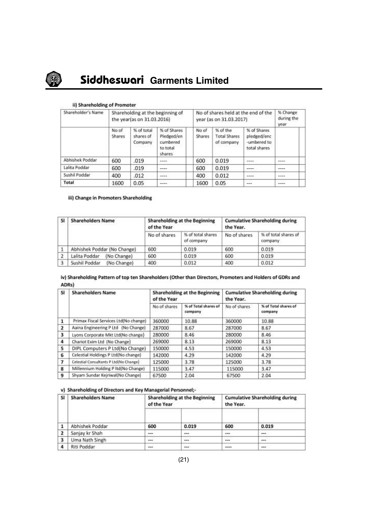

| Shareholder's Name |                 | the year(as on 31.03.2016)         | Shareholding at the beginning of                            |                        | No of shares held at the end of the<br>year (as on 31.03.2017) | % Change<br>during the<br>year                            |                    |  |
|--------------------|-----------------|------------------------------------|-------------------------------------------------------------|------------------------|----------------------------------------------------------------|-----------------------------------------------------------|--------------------|--|
|                    | No of<br>Shares | % of total<br>shares of<br>Company | % of Shares<br>Pledged/en<br>cumbered<br>to total<br>shares | No of<br><b>Shares</b> | % of the<br><b>Total Shares</b><br>of company                  | % of Shares<br>pledged/enc<br>-umbered to<br>total shares |                    |  |
| Abhishek Poddar    | 600             | 019                                | arminde.                                                    | 600                    | 0.019                                                          | <b>MARK</b>                                               | <b>WINDOW</b>      |  |
| Lalita Poddar      | 600             | .019                               | ----                                                        | 600                    | 0.019                                                          | ----                                                      | ----               |  |
| Sushil Poddar      | 400             | .012                               | <b>BRANK</b>                                                | 400                    | 0.012                                                          | <b>BRAND</b>                                              | <b>MAGE</b>        |  |
| Total              | 1600            | 0.05                               | <b>HOMES</b>                                                | 1600                   | 0.05                                                           | <b>STATISTICS</b>                                         | -- - - - -<br>---- |  |

### ii) Shareholding of Promoter

#### iii) Change in Promoters Shareholding

|  | <b>Shareholders Name</b>     | <b>Cumulative Shareholding during</b><br>Shareholding at the Beginning<br>of the Year<br>the Year. |                                 |              |                                 |  |  |
|--|------------------------------|----------------------------------------------------------------------------------------------------|---------------------------------|--------------|---------------------------------|--|--|
|  |                              | No of shares                                                                                       | % of total shares<br>of company | No of shares | % of total shares of<br>company |  |  |
|  | Abhishek Poddar (No Change)  | 600                                                                                                | 0.019                           | 600          | 0.019                           |  |  |
|  | Lalita Poddar<br>(No Change) | 600                                                                                                | 0.019                           | 600          | 0.019                           |  |  |
|  | Sushil Poddar<br>(No Change) | 400                                                                                                | 0.012                           | 400          | 0.012                           |  |  |

#### iv) Shareholding Pattern of top ten Shareholders (Other than Directors, Promoters and Holders of GDRs and ADRs)

| SI             | <b>Shareholders Name</b>               | of the Year  | <b>Shareholding at the Beginning</b> | <b>Cumulative Shareholding during</b><br>the Year. |                                 |  |
|----------------|----------------------------------------|--------------|--------------------------------------|----------------------------------------------------|---------------------------------|--|
|                |                                        | No of shares | % of Total shares of<br>company      | No of shares                                       | % of Total shares of<br>company |  |
| 1              | Primax Fiscal Services Ltd(No change)  | 360000       | 10.88                                | 360000                                             | 10.88                           |  |
| $\overline{z}$ | Aaina Engineering P Ltd (No Change)    | 287000       | 8.67                                 | 287000                                             | 8.67                            |  |
| з              | Lyons Corporate Mkt Ltd(No change)     | 280000       | 8.46                                 | 280000                                             | 8.46                            |  |
| 4              | Chariot Exim Ltd (No Change)           | 269000       | 8.13                                 | 269000                                             | 8.13                            |  |
| 5              | DIPL Computers P Ltd(No Change)        | 150000       | 4.53                                 | 150000                                             | 4.53                            |  |
| 6              | Celestial Holdings P Ltd(No change)    | 142000       | 4.29                                 | 142000                                             | 4.29                            |  |
| 7              | Celestial Consultants P Ltd(No Change) | 125000       | 3.78                                 | 125000                                             | 3.78                            |  |
| 8              | Millennium Holding P Itd(No Change)    | 115000       | 3.47                                 | 115000                                             | 3.47                            |  |
| 9              | Shyam Sundar Kejriwal(No Change)       | 67500        | 2.04                                 | 67500                                              | 2.04                            |  |

### v) Shareholding of Directors and Key Managerial Personnel;-

| SI | <b>Shareholders Name</b> | of the Year  | Shareholding at the Beginning | the Year.           | <b>Cumulative Shareholding during</b> |
|----|--------------------------|--------------|-------------------------------|---------------------|---------------------------------------|
| 1  | Abhishek Poddar          |              | 0.019                         | 600                 | 0.019                                 |
|    |                          | 600          |                               |                     |                                       |
| 2  | Sanjay kr Shah           | $\cdots$     | $\cdots$                      | ---                 | $\cdots$                              |
| 3  | Uma Nath Singh           | <b>STATE</b> | じしん<br><b>WHEN</b>            | <b><i>STORY</i></b> | <b>STATE</b>                          |
|    | Riti Poddar              | <b>And</b>   | mar.                          | innis               | -                                     |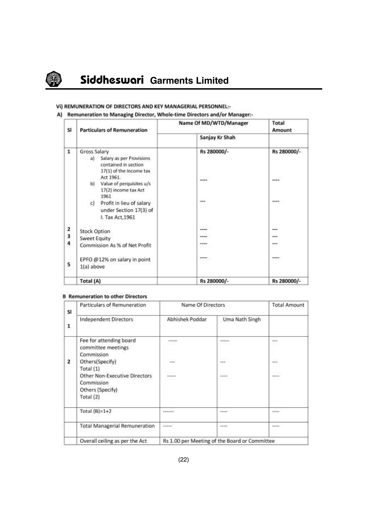

#### VI) REMUNERATION OF DIRECTORS AND KEY MANAGERIAL PERSONNEL:-

### A) Remuneration to Managing Director, Whole-time Directors and/or Manager:-

| SI.              | <b>Particulars of Remuneration</b>                                                                                                                                                                                                                               | Name Of MD/WTD/Manager       | Total<br>Amount                  |
|------------------|------------------------------------------------------------------------------------------------------------------------------------------------------------------------------------------------------------------------------------------------------------------|------------------------------|----------------------------------|
|                  |                                                                                                                                                                                                                                                                  | Sanjay Kr Shah               |                                  |
| $\mathbf{1}$     | Gross Salary<br>Salary as per Provisions<br>a)<br>contained in section<br>17(1) of the Income tax<br>Act 1961.<br>Value of perquisites u/s<br>b)<br>17(2) income tax Act<br>1961<br>Profit in lieu of salary<br>C)<br>under Section 17(3) of<br>I. Tax Act, 1961 | Rs 280000/-<br>----<br>$***$ | Rs 280000/-<br>----<br>$- - - -$ |
| 2<br>3<br>4<br>5 | <b>Stock Option</b><br>Sweet Equity<br>Commission As % of Net Profit<br>EPFO @12% on salary in point<br>$1(a)$ above                                                                                                                                             | ----<br>---<br>----          | ---<br>---<br>--<br>$- - - -$    |
|                  | Total (A)                                                                                                                                                                                                                                                        | Rs 280000/-                  | Rs 280000/-                      |

#### **B** Remuneration to other Directors

| sı             | Particulars of Remuneration                                 | Name Of Directors |                                               | <b>Total Amount</b> |
|----------------|-------------------------------------------------------------|-------------------|-----------------------------------------------|---------------------|
| 1              | Independent Directors                                       | Abhishek Poddar   | Uma Nath Singh                                |                     |
|                | Fee for attending board<br>committee meetings<br>Commission | -----             | -----                                         | 499                 |
| $\overline{2}$ | Others(Specify)                                             | m sto<br>---      | vs=5<br>$-$                                   | 55<br>---           |
|                | Total (1)                                                   | COV.              | <b>STAR</b>                                   |                     |
|                | Other Non-Executive Directors<br>Commission                 | <b>ALCOHOL:</b>   | <b>ALCOHOL</b>                                | de de monte         |
|                | Others (Specify)                                            |                   |                                               |                     |
|                | Total (2)                                                   |                   |                                               |                     |
|                | Total $(B)=1+2$                                             | 000000            | <b><i>REIGH</i></b>                           | an in races         |
|                | <b>Total Managerial Remuneration</b>                        | -----             |                                               | ---                 |
|                | Overall ceiling as per the Act                              |                   | Rs 1.00 per Meeting of the Board or Committee |                     |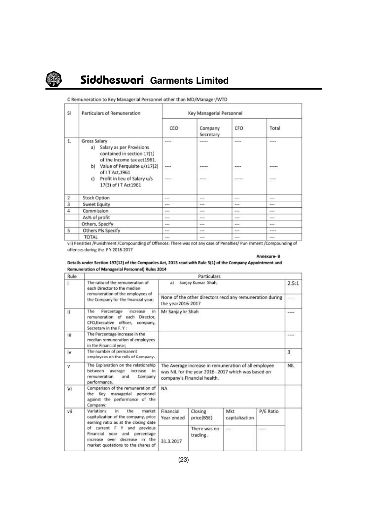

| SI             | Particulars of Remuneration                                                                                                                                                                                                 | Key Managerial Personnel       |                                 |                                |                                                 |  |
|----------------|-----------------------------------------------------------------------------------------------------------------------------------------------------------------------------------------------------------------------------|--------------------------------|---------------------------------|--------------------------------|-------------------------------------------------|--|
|                |                                                                                                                                                                                                                             | <b>CACAO</b><br>CEO            | Company<br>Secretary            | CFO                            | Total                                           |  |
| 1.             | Gross Salary<br>Salary as per Provisions<br>a)<br>contained in section 17(1)<br>of the Income tax act1961.<br>b) Value of Perquisite u/s17(2)<br>of I T Act, 1961<br>c) Profit in lieu of Salary u/s<br>17(3) of IT Act1961 | ----<br>----<br><b>Windows</b> | -----<br>-----<br>유학자 사<br>---- | ----<br>----<br><b>Address</b> | ----<br>-----<br>20 MB<br><b>House</b><br>10. C |  |
| $\overline{2}$ | <b>Stock Option</b>                                                                                                                                                                                                         | ---                            | $\cdots$                        | $-$                            | $\cdots$                                        |  |
| 3              | Sweet Equity                                                                                                                                                                                                                | <b>Minimi</b>                  | $-$                             | ---                            | where.                                          |  |
| 4              | Commission                                                                                                                                                                                                                  | <b>MARK</b>                    | <b>STATE</b>                    | <b>SCALE</b>                   | <b>HOLLY</b>                                    |  |
|                | As% of profit                                                                                                                                                                                                               | ---                            | <b>STATE</b>                    | <b>Hotel</b>                   | <b>Allena</b>                                   |  |
|                | Others, Specify                                                                                                                                                                                                             | ---                            | ---                             | ---                            | $-$                                             |  |
| 5              | Others Pls Specify                                                                                                                                                                                                          | ---                            | $- -$                           | $-$                            | ----                                            |  |
|                | <b>TOTAL</b>                                                                                                                                                                                                                | <b>MONTH</b>                   | 20.004                          | <b>Armore</b>                  | ALC: U                                          |  |

C Remuneration to Key Managerial Personnel other than MD/Manager/WTD

vii) Penalties /Punishment /Compounding of Offences: There was not any case of Penalties/ Punishment /Compounding of offences during the FY 2016-2017

#### Annexure-B

#### Details under Section 197(12) of the Companies Act, 2013 read with Rule 5(1) of the Company Appointment and Remuneration of Managerial Personnel) Rules 2014

| Rule |                                                                                                                                              |                         | Particulars                                                                                                                               |                       |           |            |
|------|----------------------------------------------------------------------------------------------------------------------------------------------|-------------------------|-------------------------------------------------------------------------------------------------------------------------------------------|-----------------------|-----------|------------|
| i.   | The ratio of the remuneration of<br>each Director to the median                                                                              | a)                      | Sanjay Kumar Shah,                                                                                                                        |                       |           | 2.5:1      |
|      | remuneration of the employees of<br>the Company for the financial year;                                                                      | the year2016-2017       | None of the other directors recd any remuneration during                                                                                  |                       |           | ----       |
| ii.  | The<br>Percentage<br>increase<br>in<br>remuneration of each<br>Director,<br>CFO,Executive officer, company,<br>Secretary in the F.Y:         | Mr Sanjay kr Shah       |                                                                                                                                           |                       |           | ----       |
| iii  | The Percentage increase in the<br>median remuneration of employees<br>in the Financial year:                                                 |                         |                                                                                                                                           |                       |           | ----       |
| iv   | The number of permanent<br>employees on the rolls of Company.                                                                                |                         |                                                                                                                                           |                       |           | 3          |
| v    | The Explanation on the relationship<br>between average<br>increase<br>sin<br>remuneration<br>and<br>Company<br>performance.                  |                         | The Average increase in remuneration of all employee<br>was NIL for the year 2016--2017 which was based on<br>company's Financial health. |                       |           | <b>NIL</b> |
| Vi   | Comparison of the remuneration of<br>the Key managerial personnel<br>against the performance of the<br>Company:                              | <b>NA</b>               |                                                                                                                                           |                       |           |            |
| vii  | Variations<br>the<br>market<br>in.<br>capitalization of the company, price<br>earning ratio as at the closing date                           | Financial<br>Year ended | Closing<br>price(BSE)                                                                                                                     | Mkt<br>capitalization | P/E Ratio |            |
|      | of current F Y and previous<br>Financial<br>year and percentage<br>decrease in the<br>over<br>increase<br>market quotations to the shares of | 31.3.2017               | There was no<br>trading.                                                                                                                  | $-$                   | $+ - - +$ |            |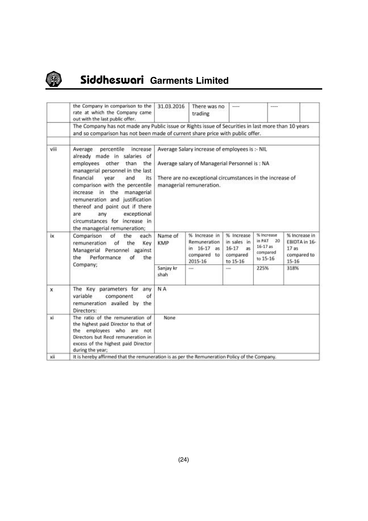

|      | the Company in comparison to the<br>rate at which the Company came<br>out with the last public offer.                                                                                                                                                                                                                                                                                                       | 31.03.2016            | There was no<br>trading                                                                                                                                                                  | ----                                                                             | ----                                                          |                                                                            |
|------|-------------------------------------------------------------------------------------------------------------------------------------------------------------------------------------------------------------------------------------------------------------------------------------------------------------------------------------------------------------------------------------------------------------|-----------------------|------------------------------------------------------------------------------------------------------------------------------------------------------------------------------------------|----------------------------------------------------------------------------------|---------------------------------------------------------------|----------------------------------------------------------------------------|
|      | The Company has not made any Public issue or Rights issue of Securities in last more than 10 years<br>and so comparison has not been made of current share price with public offer.                                                                                                                                                                                                                         |                       |                                                                                                                                                                                          |                                                                                  |                                                               |                                                                            |
| viii | percentile increase<br>Average<br>already made in salaries of<br>other than<br>employees<br>the<br>managerial personnel in the last<br>financial<br>vear<br>and<br>its<br>comparison with the percentile<br>increase in the<br>managerial<br>remuneration and justification<br>thereof and point out if there<br>exceptional<br>are<br>any<br>circumstances for increase in<br>the managerial remuneration; |                       | Average Salary increase of employees is :- NIL<br>Average salary of Managerial Personnel is: NA<br>There are no exceptional circumstances in the increase of<br>managerial remuneration. |                                                                                  |                                                               |                                                                            |
| ix   | Comparison<br>of<br>the<br>each<br>of<br>the<br>remuneration<br>Kev<br>Managerial Personnel against<br>the<br>Performance<br>of<br>the                                                                                                                                                                                                                                                                      | Name of<br><b>KMP</b> | % Increase in<br>Remuneration<br>in 16-17 as<br>compared to<br>2015-16                                                                                                                   | % Increase<br>in sales in<br>$16 - 17$<br>a <sub>5</sub><br>compared<br>to 15-16 | % increase<br>in PAT 20<br>$16-17$ as<br>compared<br>to 15-16 | % Increase in<br>EBIDTA in 16-<br>17a <sub>s</sub><br>compared to<br>15-16 |
|      | Company;                                                                                                                                                                                                                                                                                                                                                                                                    | Sanjay kr<br>shah     | in a                                                                                                                                                                                     | in in                                                                            | 225%                                                          | 318%                                                                       |
| x    | The Key parameters for<br>any<br>variable<br>component<br>of<br>remuneration availed by the<br>Directors:                                                                                                                                                                                                                                                                                                   | N A                   |                                                                                                                                                                                          |                                                                                  |                                                               |                                                                            |
| xi   | The ratio of the remuneration of<br>the highest paid Director to that of<br>the employees who are not<br>Directors but Recd remuneration in<br>excess of the highest paid Director<br>during the year;                                                                                                                                                                                                      | None                  |                                                                                                                                                                                          |                                                                                  |                                                               |                                                                            |
| xii  | It is hereby affirmed that the remuneration is as per the Remuneration Policy of the Company.                                                                                                                                                                                                                                                                                                               |                       |                                                                                                                                                                                          |                                                                                  |                                                               |                                                                            |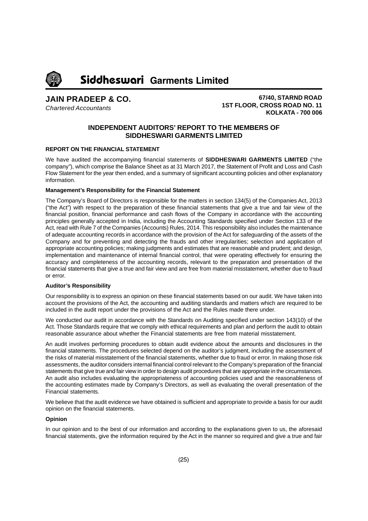

### **JAIN PRADEEP & CO.**

*Chartered Accountants*

**67/40, STARND ROAD 1ST FLOOR, CROSS ROAD NO. 11 KOLKATA - 700 006**

### **INDEPENDENT AUDITORS' REPORT TO THE MEMBERS OF SIDDHESWARI GARMENTS LIMITED**

#### **REPORT ON THE FINANCIAL STATEMENT**

We have audited the accompanying financial statements of **SIDDHESWARI GARMENTS LIMITED** ("the company"), which comprise the Balance Sheet as at 31 March 2017, the Statement of Profit and Loss and Cash Flow Statement for the year then ended, and a summary of significant accounting policies and other explanatory information.

#### **Management's Responsibility for the Financial Statement**

The Company's Board of Directors is responsible for the matters in section 134(5) of the Companies Act, 2013 ("the Act") with respect to the preparation of these financial statements that give a true and fair view of the financial position, financial performance and cash flows of the Company in accordance with the accounting principles generally accepted in India, including the Accounting Standards specified under Section 133 of the Act, read with Rule 7 of the Companies (Accounts) Rules, 2014. This responsibility also includes the maintenance of adequate accounting records in accordance with the provision of the Act for safeguarding of the assets of the Company and for preventing and detecting the frauds and other irregularities; selection and application of appropriate accounting policies; making judgments and estimates that are reasonable and prudent; and design, implementation and maintenance of internal financial control, that were operating effectively for ensuring the accuracy and completeness of the accounting records, relevant to the preparation and presentation of the financial statements that give a true and fair view and are free from material misstatement, whether due to fraud or error.

#### **Auditor's Responsibility**

Our responsibility is to express an opinion on these financial statements based on our audit. We have taken into account the provisions of the Act, the accounting and auditing standards and matters which are required to be included in the audit report under the provisions of the Act and the Rules made there under.

We conducted our audit in accordance with the Standards on Auditing specified under section 143(10) of the Act. Those Standards require that we comply with ethical requirements and plan and perform the audit to obtain reasonable assurance about whether the Financial statements are free from material misstatement.

An audit involves performing procedures to obtain audit evidence about the amounts and disclosures in the financial statements. The procedures selected depend on the auditor's judgment, including the assessment of the risks of material misstatement of the financial statements, whether due to fraud or error. In making those risk assessments, the auditor considers internal financial control relevant to the Company's preparation of the financial statements that give true and fair view in order to design audit procedures that are appropriate in the circumstances. An audit also includes evaluating the appropriateness of accounting policies used and the reasonableness of the accounting estimates made by Company's Directors, as well as evaluating the overall presentation of the Financial statements.

We believe that the audit evidence we have obtained is sufficient and appropriate to provide a basis for our audit opinion on the financial statements.

#### **Opinion**

In our opinion and to the best of our information and according to the explanations given to us, the aforesaid financial statements, give the information required by the Act in the manner so required and give a true and fair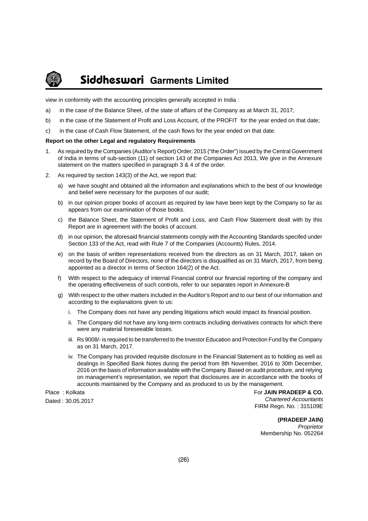

view in conformity with the accounting principles generally accepted in India :

- view in conformity with the accounting principles generally accepted in India :<br>a) in the case of the Balance Sheet, of the state of affairs of the Company as at March 31, 20<br>b) in the case of the Statement of Profit and L
- **Siddheswari** Garments Limited<br>view in conformity with the accounting principles generally accepted in India :<br>a) in the case of the Balance Sheet, of the state of affairs of the Company as at March 31, 2017;<br>b) in the cas b) in the case of the Balance Sheet, of the state of affairs of the Company as at March 31, 2017;<br>
in the case of the Statement of Profit and Loss Account, of the PROFIT for the year ended on that date;<br>
c) in the case of
- 

#### **Report on the other Legal and regulatory Requirements**

- 1. It is required by the Companies (Auditor's Report) Order, 2015 ("the Order") issued by the Central Government<br>1. As required by the Companies (Auditor's Report) Order, 2015 ("the Order") issued by the Central Government As required by the Companies (Addition 3 Neport) Order, 2013 (The Order ) issued by the Central Government<br>of India in terms of sub-section (11) of section 143 of the Companies Act 2013, We give in the Annexure<br>statement o statement on the matters specified in paragraph 3 & 4 of the order. 2. As required by the Companies (Auditor's Report) Order, 2015<br>2. As required by the Companies (Auditor's Report) Order, 2015<br>3. of India in terms of sub-section (11) of section 143 of the Constatement on the matters speci
- 
- and belief were necessary for the purposes of our audit; As required by section 143(3) of the Act, we report that:<br>
a) we have sought and obtained all the information and explanations which to the best of our knowledge<br>
and belief were necessary for the purposes of our audit;<br>
b
	- appears from our examination of those books.
	- c) the Balance Sheet, the Statement of Profit and Loss, and Cash Flow Statement dealt with by this Report are in agreement with the books of account.
	- d) in our opinion, the aforesaid financial statements comply with the Accounting Standards specifed under Section 133 of the Act, read with Rule 7 of the Companies (Accounts) Rules, 2014.
	- e) the balance sheet, the statement of Profit and Eoss, and Cash Plow statement dealt while by this<br>Report are in agreement with the books of account.<br>a) in our opinion, the aforesaid financial statements comply with the A record by the Board of Directors, none of the directors is disqualified as on 31 March, 2017, from being appointed as a director in terms of Section 164(2) of the Act. Figure 2014.<br>
	Fermal on the basis of written representations received from the directors as on 31 March, 2017, taken on<br>
	record by the Board of Directors, none of the directors is disqualified as on 31 March, 2017, from be
	- the operating effectiveness of such controls, refer to our separates report in Annexure-B f) With respect to the adequacy of internal Financial control our financial reporting of the company and the operating effectiveness of such controls, refer to our separates report in Annexure-B a) With respect to the othe
	- according to the explanations given to us: Figures of the discussion of internal manufal control our manufal reporting of the company and<br>the operating effectiveness of such controls, refer to our separates report in Annexure-B<br>With respect to the other matters inc With respect to the other matters included in the Auditor's Report and to our best of our information and according to the explanations given to us:<br>i. The Company does not have any pending litigations which would impact i
		-
		- were any material foreseeable losses.
		- i. The Company does not have any pending litigations which would impact its financial position.<br>
		ii. The Company did not have any long-term contracts including derivatives contracts for which there<br>
		were any material fores as on 31 March, 2017.
		- II. The Company did not have any long-term contracts including derivatives contracts for which there were any material foreseeable losses.<br>iii. Rs 9008/- is required to be transferred to the Investor Education and Protecti 2016 on the basis of information available with the Company. Based on audit procedure, and relying on management's representation, we report that disclosures are in accordance with the books of accounts maintained by the Company and as produced to us by the management.

Place : Kolkata Dated : 30.05.2017 For **JAIN PRADEEP & CO.** *Chartered Accountants* FIRM Regn. No. : 315109E

**(PRADEEP JAIN)** *Proprietor* Membership No. 052264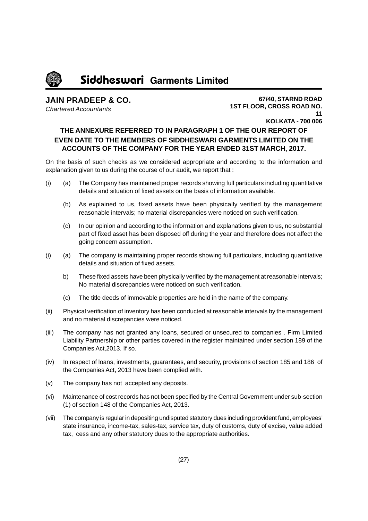

### **JAIN PRADEEP & CO.**

*Chartered Accountants*

**67/40, STARND ROAD 1ST FLOOR, CROSS ROAD NO. 11 KOLKATA - 700 006**

### **THE ANNEXURE REFERRED TO IN PARAGRAPH 1 OF THE OUR REPORT OF EVEN DATE TO THE MEMBERS OF SIDDHESWARI GARMENTS LIMITED ON THE ACCOUNTS OF THE COMPANY FOR THE YEAR ENDED 31ST MARCH, 2017.**

On the basis of such checks as we considered appropriate and according to the information and explanation given to us during the course of our audit, we report that :

- ACCOUNTS OF THE COMPANY FOR THE YEAR ENDED 31ST MARCH, 2017.<br>On the basis of such checks as we considered appropriate and according to the information and<br>explanation given to us during the course of our audit, we report t details and situation of fixed assets on the basis of information available. (a) The Company has maintained proper records showing full particulars including quantitative<br>details and situation of fixed assets on the basis of information available.<br>(b) As explained to us, fixed assets have been phys
	- reasonable intervals; no material discrepancies were noticed on such verification. (b) As explained to us, fixed assets have been physically verified by the management reasonable intervals; no material discrepancies were noticed on such verification.<br>(c) In our opinion and according to the information an
- part of fixed asset has been disposed off during the year and therefore does not affect the going concern assumption. (c) In our opinion and according to the information and explanations given to us, no substantial<br>part of fixed asset has been disposed off during the year and therefore does not affect the<br>going concern assumption.<br>(i) (a)
- details and situation of fixed assets.
- going concern assumption.<br>
(a) The company is maintaining proper records showing full particulars, including quantitative<br>
details and situation of fixed assets.<br>
b) These fixed assets have been physically verified by the No material discrepancies were noticed on such verification. details and situation of fixed assets.<br>
b) These fixed assets have been physically verified by the management at reasonable in<br>
No material discrepancies were noticed on such verification.<br>
(c) The title deeds of immovable
	-
- (i) These fixed assets have been physically verified by the management at reasonable intervals;<br>No material discrepancies were noticed on such verification.<br>(i) The title deeds of immovable properties are held in the name and no material discrepancies were noticed.
- (c) The title deeds of immovable properties are held in the name of the company.<br>
(ii) Physical verification of inventory has been conducted at reasonable intervals by the management<br>
and no material discrepancies were not Liability Partnership or other parties covered in the register maintained under section 189 of the Companies Act,2013. If so. (iii) The company has not granted any loans, secured or unsecured to companies . Firm Limited<br>Liability Partnership or other parties covered in the register maintained under section 189 of the<br>Companies Act, 2013. If so.<br>(
- the Companies Act, 2013 have been complied with. Companies Act,2013. If so.<br>
(iv) In respect of loans, investments, guarantees, and s<br>
the Companies Act, 2013 have been complied with<br>
(v) The company has not accepted any deposits.<br>
(vi) Maintenance of cost records has no (iv) In respect of loans, investments, guarantees, and security, provisions of section 185 and 186 of<br>the Companies Act, 2013 have been complied with.<br>(v) The company has not accepted any deposits.<br>(vi) Maintenance of cost
- 
- (1) of section 148 of the Companies Act, 2013.
- (vii) The company is regular in depositing undisputed statutory dues including provident fund, employees' state insurance, income-tax, sales-tax, service tax, duty of customs, duty of excise, value added tax, cess and any other statutory dues to the appropriate authorities.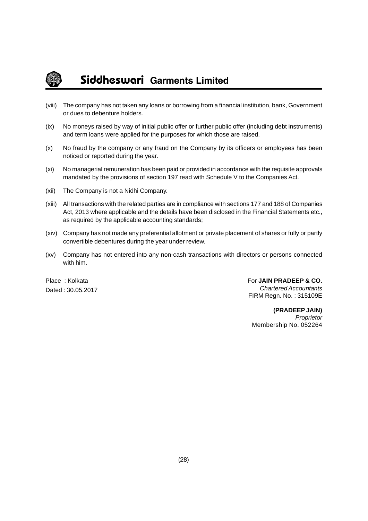

- **Siddheswari Garments Limited**<br>(viii) The company has not taken any loans or borrowing from a financial institution, bank, Government<br>or dues to debenture holders. or dues to debenture holders. (viii) The company has not taken any loans or borrowing from a financial institution, bank, Government<br>or dues to debenture holders.<br>(ix) No moneys raised by way of initial public offer or further public offer (including d
- and term loans were applied for the purposes for which those are raised. (ix) No moneys raised by way of initial public offer or further public offer (including debt instruments)<br>and term loans were applied for the purposes for which those are raised.<br>(x) No fraud by the company or any fraud on
- noticed or reported during the year.
- (x) No fraud by the company or any fraud on the Company by its officers or employees has been noticed or reported during the year.<br>
(xi) No managerial remuneration has been paid or provided in accordance with the requisite mandated by the provisions of section 197 read with Schedule V to the Companies Act. noticed or reported during the year.<br>
(xi) No managerial remuneration has been paid<br>
mandated by the provisions of section 197<br>
(xii) The Company is not a Nidhi Company.<br>
(xiii) All transactions with the related parties ar (xi) No managerial remuneration has been paid or provided in accordance with the requisite approvals<br>mandated by the provisions of section 197 read with Schedule V to the Companies Act.<br>(xii) The Company is not a Nidhi Com
- 
- Act, 2013 where applicable and the details have been disclosed in the Financial Statements etc., as required by the applicable accounting standards; (xiii) All transactions with the related parties are in compliance with sections 177 and 188 of Companies<br>Act, 2013 where applicable and the details have been disclosed in the Financial Statements etc.,<br>as required by the
- convertible debentures during the year under review. as required by the applicable accounting standards;<br>
(xiv) Company has not made any preferential allotment or private placement of shares or fully or partly<br>
convertible debentures during the year under review.<br>
(xv) Compa
- with him.

Place : Kolkata Dated : 30.05.2017 For **JAIN PRADEEP & CO.** *Chartered Accountants* FIRM Regn. No. : 315109E

**(PRADEEP JAIN)** *Proprietor* Membership No. 052264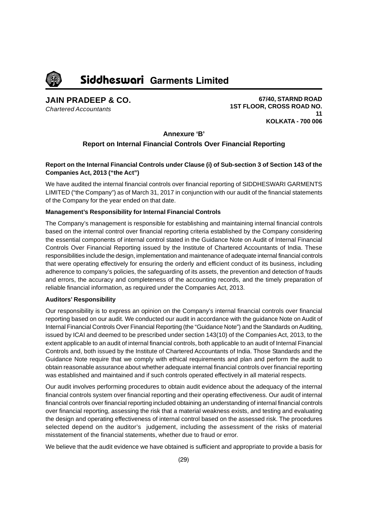

**JAIN PRADEEP & CO.**

*Chartered Accountants*

**67/40, STARND ROAD 1ST FLOOR, CROSS ROAD NO. 11 KOLKATA - 700 006**

### **Annexure 'B'**

### **Report on Internal Financial Controls Over Financial Reporting**

### **Report on the Internal Financial Controls under Clause (i) of Sub-section 3 of Section 143 of the Companies Act, 2013 ("the Act")**

We have audited the internal financial controls over financial reporting of SIDDHESWARI GARMENTS LIMITED ("the Company") as of March 31, 2017 in conjunction with our audit of the financial statements of the Company for the year ended on that date.

### **Management's Responsibility for Internal Financial Controls**

The Company's management is responsible for establishing and maintaining internal financial controls based on the internal control over financial reporting criteria established by the Company considering the essential components of internal control stated in the Guidance Note on Audit of Internal Financial Controls Over Financial Reporting issued by the Institute of Chartered Accountants of India. These responsibilities include the design, implementation and maintenance of adequate internal financial controls that were operating effectively for ensuring the orderly and efficient conduct of its business, including adherence to company's policies, the safeguarding of its assets, the prevention and detection of frauds and errors, the accuracy and completeness of the accounting records, and the timely preparation of reliable financial information, as required under the Companies Act, 2013.

### **Auditors' Responsibility**

Our responsibility is to express an opinion on the Company's internal financial controls over financial reporting based on our audit. We conducted our audit in accordance with the guidance Note on Audit of Internal Financial Controls Over Financial Reporting (the "Guidance Note") and the Standards on Auditing, issued by ICAI and deemed to be prescribed under section 143(10) of the Companies Act, 2013, to the extent applicable to an audit of internal financial controls, both applicable to an audit of Internal Financial Controls and, both issued by the Institute of Chartered Accountants of India. Those Standards and the Guidance Note require that we comply with ethical requirements and plan and perform the audit to obtain reasonable assurance about whether adequate internal financial controls over financial reporting was established and maintained and if such controls operated effectively in all material respects.

Our audit involves performing procedures to obtain audit evidence about the adequacy of the internal financial controls system over financial reporting and their operating effectiveness. Our audit of internal financial controls over financial reporting included obtaining an understanding of internal financial controls over financial reporting, assessing the risk that a material weakness exists, and testing and evaluating the design and operating effectiveness of internal control based on the assessed risk. The procedures selected depend on the auditor's judgement, including the assessment of the risks of material misstatement of the financial statements, whether due to fraud or error.

We believe that the audit evidence we have obtained is sufficient and appropriate to provide a basis for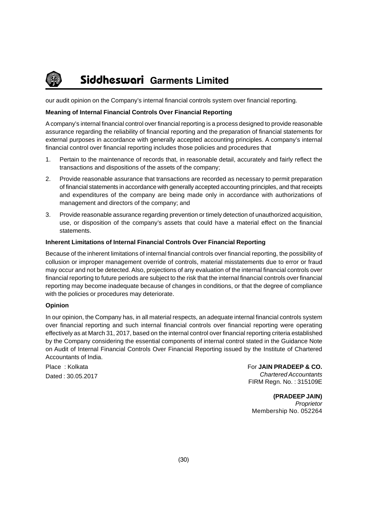

our audit opinion on the Company's internal financial controls system over financial reporting.

#### **Meaning of Internal Financial Controls Over Financial Reporting**

A company's internal financial control over financial reporting is a process designed to provide reasonable assurance regarding the reliability of financial reporting and the preparation of financial statements for external purposes in accordance with generally accepted accounting principles. A company's internal financial control over financial reporting includes those policies and procedures that A company's internal financial control over financial reporting is a process designed to provide reasonable<br>assurance regarding the reliability of financial reporting and the preparation of financial statements for<br>externa

- transactions and dispositions of the assets of the company; 2. Pertain to the maintenance of records that, in reasonable detail, accurately and fairly reflect the transactions and dispositions of the assets of the company;<br>2. Provide reasonable assurance that transactions are recor
- of financial statements in accordance with generally accepted accounting principles, and that receipts and expenditures of the company are being made only in accordance with authorizations of management and directors of the company; and Provide reasonable assurance that transactions are recorded as necessary to permit preparation<br>of financial statements in accordance with generally accepted accounting principles, and that receipts<br>and expenditures of the
- statements.

#### **Inherent Limitations of Internal Financial Controls Over Financial Reporting**

Because of the inherent limitations of internal financial controls over financial reporting, the possibility of collusion or improper management override of controls, material misstatements due to error or fraud may occur and not be detected. Also, projections of any evaluation of the internal financial controls over financial reporting to future periods are subject to the risk that the internal financial controls over financial reporting may become inadequate because of changes in conditions, or that the degree of compliance with the policies or procedures may deteriorate.

#### **Opinion**

In our opinion, the Company has, in all material respects, an adequate internal financial controls system over financial reporting and such internal financial controls over financial reporting were operating effectively as at March 31, 2017, based on the internal control over financial reporting criteria established by the Company considering the essential components of internal control stated in the Guidance Note on Audit of Internal Financial Controls Over Financial Reporting issued by the Institute of Chartered Accountants of India.

Place : Kolkata Dated : 30.05.2017 For **JAIN PRADEEP & CO.** *Chartered Accountants* FIRM Regn. No. : 315109E

**(PRADEEP JAIN)** *Proprietor* Membership No. 052264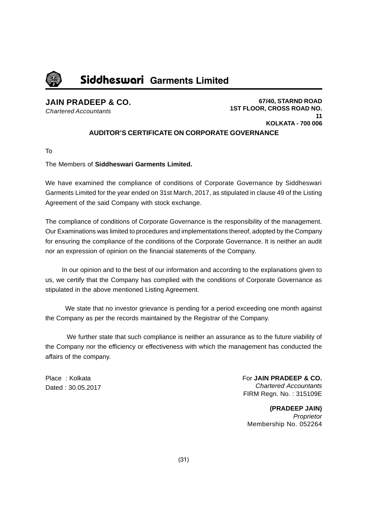

**JAIN PRADEEP & CO.** *Chartered Accountants*

**67/40, STARND ROAD 1ST FLOOR, CROSS ROAD NO. 11 KOLKATA - 700 006**

### **AUDITOR'S CERTIFICATE ON CORPORATE GOVERNANCE**

To

The Members of **Siddheswari Garments Limited.**

We have examined the compliance of conditions of Corporate Governance by Siddheswari Garments Limited for the year ended on 31st March, 2017, as stipulated in clause 49 of the Listing Agreement of the said Company with stock exchange.

The compliance of conditions of Corporate Governance is the responsibility of the management. Our Examinations was limited to procedures and implementations thereof, adopted by the Company for ensuring the compliance of the conditions of the Corporate Governance. It is neither an audit nor an expression of opinion on the financial statements of the Company.

 In our opinion and to the best of our information and according to the explanations given to us, we certify that the Company has complied with the conditions of Corporate Governance as stipulated in the above mentioned Listing Agreement.

We state that no investor grievance is pending for a period exceeding one month against the Company as per the records maintained by the Registrar of the Company.

 We further state that such compliance is neither an assurance as to the future viability of the Company nor the efficiency or effectiveness with which the management has conducted the affairs of the company.

Place : Kolkata Dated : 30.05.2017 For **JAIN PRADEEP & CO.** *Chartered Accountants* FIRM Regn. No. : 315109E

**(PRADEEP JAIN)** *Proprietor* Membership No. 052264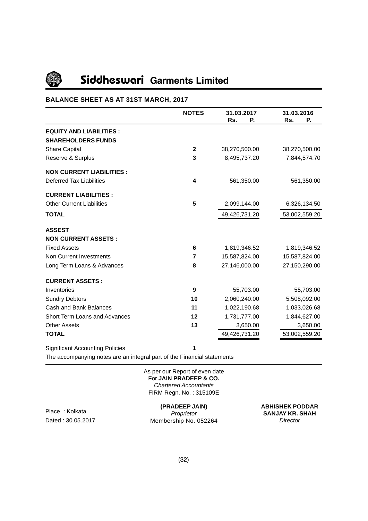

### **BALANCE SHEET AS AT 31ST MARCH, 2017**

| <b>BALANCE SHEET AS AT 31ST MARCH, 2017</b> |              |                         |                         |  |  |  |  |
|---------------------------------------------|--------------|-------------------------|-------------------------|--|--|--|--|
|                                             | <b>NOTES</b> | 31.03.2017<br>Rs.<br>Р. | 31.03.2016<br>Rs.<br>Р. |  |  |  |  |
| <b>EQUITY AND LIABILITIES:</b>              |              |                         |                         |  |  |  |  |
| <b>SHAREHOLDERS FUNDS</b>                   |              |                         |                         |  |  |  |  |
| <b>Share Capital</b>                        | $\mathbf{2}$ | 38,270,500.00           | 38,270,500.00           |  |  |  |  |
| Reserve & Surplus                           | 3            | 8,495,737.20            | 7,844,574.70            |  |  |  |  |
| <b>NON CURRENT LIABILITIES:</b>             |              |                         |                         |  |  |  |  |
| <b>Deferred Tax Liabilities</b>             | 4            | 561,350.00              | 561,350.00              |  |  |  |  |
| <b>CURRENT LIABILITIES:</b>                 |              |                         |                         |  |  |  |  |
| <b>Other Current Liabilities</b>            | 5            | 2,099,144.00            | 6,326,134.50            |  |  |  |  |
| <b>TOTAL</b>                                |              | 49,426,731.20           | 53,002,559.20           |  |  |  |  |
| <b>ASSEST</b>                               |              |                         |                         |  |  |  |  |
| <b>NON CURRENT ASSETS:</b>                  |              |                         |                         |  |  |  |  |
| <b>Fixed Assets</b>                         | 6            | 1,819,346.52            | 1,819,346.52            |  |  |  |  |
| Non Current Investments                     | 7            | 15,587,824.00           | 15,587,824.00           |  |  |  |  |
| Long Term Loans & Advances                  | 8            | 27,146,000.00           | 27,150,290.00           |  |  |  |  |
| <b>CURRENT ASSETS:</b>                      |              |                         |                         |  |  |  |  |
| Inventories                                 | 9            | 55,703.00               | 55,703.00               |  |  |  |  |
| <b>Sundry Debtors</b>                       | 10           | 2,060,240.00            | 5,508,092.00            |  |  |  |  |
| Cash and Bank Balances                      | 11           | 1,022,190.68            | 1,033,026.68            |  |  |  |  |
| Short Term Loans and Advances               | 12           | 1,731,777.00            | 1,844,627.00            |  |  |  |  |
| <b>Other Assets</b>                         | 13           | 3,650.00                | 3,650.00                |  |  |  |  |
| <b>TOTAL</b>                                |              | 49,426,731.20           | 53,002,559.20           |  |  |  |  |
| Cianificant Aconunting Doligies             |              |                         |                         |  |  |  |  |

Significant Accounting Policies **1**

The accompanying notes are an integral part of the Financial statements

As per our Report of even date For **JAIN PRADEEP & CO.** *Chartered Accountants* FIRM Regn. No. : 315109E

Place : Kolkata Dated : 30.05.2017

**(PRADEEP JAIN)** *Proprietor* Membership No. 052264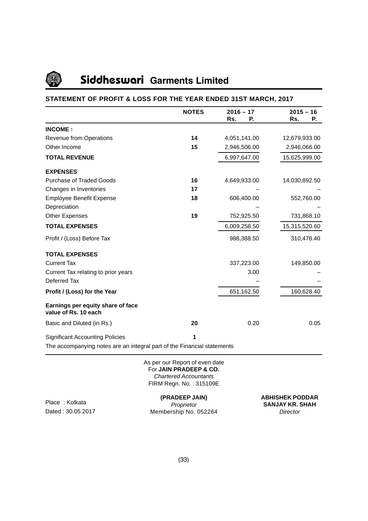### **STATEMENT OF PROFIT & LOSS FOR THE YEAR ENDED 31ST MARCH, 2017**

|                                                                         | <b>NOTES</b> | $2016 - 17$<br>Rs.<br>Р. | $2015 - 16$<br>Р.<br>Rs. |
|-------------------------------------------------------------------------|--------------|--------------------------|--------------------------|
| <b>INCOME:</b>                                                          |              |                          |                          |
| <b>Revenue from Operations</b>                                          | 14           | 4,051,141.00             | 12,679,933.00            |
| Other Income                                                            | 15           | 2,946,506.00             | 2,946,066.00             |
| <b>TOTAL REVENUE</b>                                                    |              | 6,997,647.00             | 15,625,999.00            |
| <b>EXPENSES</b>                                                         |              |                          |                          |
| <b>Purchase of Traded Goods</b>                                         | 16           | 4,649,933.00             | 14,030,892.50            |
| Changes in Inventories                                                  | 17           |                          |                          |
| <b>Employee Benefit Expense</b>                                         | 18           | 606,400.00               | 552,760.00               |
| Depreciation                                                            |              |                          |                          |
| <b>Other Expenses</b>                                                   | 19           | 752,925.50               | 731,868.10               |
| <b>TOTAL EXPENSES</b>                                                   |              | 6,009,258.50             | 15,315,520.60            |
| Profit / (Loss) Before Tax                                              |              | 988,388.50               | 310,478.40               |
| <b>TOTAL EXPENSES</b>                                                   |              |                          |                          |
| <b>Current Tax</b>                                                      |              | 337,223.00               | 149,850.00               |
| Current Tax relating to prior years                                     |              | 3.00                     |                          |
| Deferred Tax                                                            |              |                          |                          |
| Profit / (Loss) for the Year                                            |              | 651,162.50               | 160,628.40               |
| Earnings per equity share of face<br>value of Rs. 10 each               |              |                          |                          |
| Basic and Diluted (in Rs.)                                              | 20           | 0.20                     | 0.05                     |
| <b>Significant Accounting Policies</b>                                  | 1            |                          |                          |
| The accompanying notes are an integral part of the Financial statements |              |                          |                          |

As per our Report of even date For **JAIN PRADEEP & CO.** *Chartered Accountants* FIRM Regn. No. : 315109E

Place : Kolkata Dated : 30.05.2017

**(PRADEEP JAIN)** *Proprietor* Membership No. 052264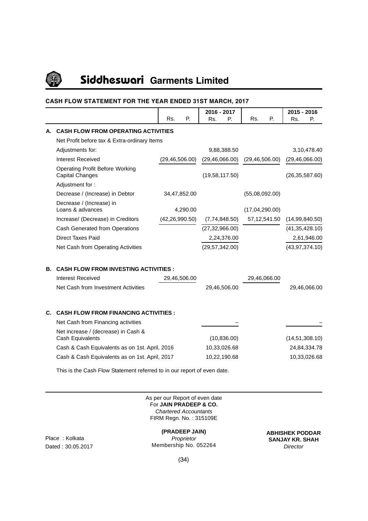

### **CASH FLOW STATEMENT FOR THE YEAR ENDED 31ST MARCH, 2017**

|    |                                                                  |                  | 2016 - 2017      |                  | 2015 - 2016      |  |  |  |
|----|------------------------------------------------------------------|------------------|------------------|------------------|------------------|--|--|--|
|    |                                                                  | Rs.<br>Р.        | Rs.<br>Р.        | Р.<br>Rs.        | Rs.<br>Р.        |  |  |  |
| А. | <b>CASH FLOW FROM OPERATING ACTIVITIES</b>                       |                  |                  |                  |                  |  |  |  |
|    | Net Profit before tax & Extra-ordinary Items                     |                  |                  |                  |                  |  |  |  |
|    | Adjustments for:                                                 |                  | 9,88,388.50      |                  | 3,10,478.40      |  |  |  |
|    | <b>Interest Received</b>                                         | (29, 46, 506.00) | (29, 46, 066.00) | (29, 46, 506.00) | (29, 46, 066.00) |  |  |  |
|    | <b>Operating Profit Before Working</b><br><b>Capital Changes</b> |                  | (19,58,117.50)   |                  | (26, 35, 587.60) |  |  |  |
|    | Adjustment for:                                                  |                  |                  |                  |                  |  |  |  |
|    | Decrease / (Increase) in Debtor                                  | 34,47,852.00     |                  | (55,08,092.00)   |                  |  |  |  |
|    | Decrease / (Increase) in<br>Loans & advances                     | 4,290.00         |                  | (17,04,290.00)   |                  |  |  |  |
|    | Increase/ (Decrease) in Creditors                                | (42, 26, 990.50) | (7,74,848.50)    | 57, 12, 541.50   | (14, 99, 840.50) |  |  |  |
|    | Cash Generated from Operations                                   |                  | (27, 32, 966.00) |                  | (41, 35, 428.10) |  |  |  |
|    | <b>Direct Taxes Paid</b>                                         |                  | 2,24,376.00      |                  | 2,61,946.00      |  |  |  |
|    | Net Cash from Operating Activities                               |                  | (29, 57, 342.00) |                  | (43, 97, 374.10) |  |  |  |
| В. | <b>CASH FLOW FROM INVESTING ACTIVITIES :</b>                     |                  |                  |                  |                  |  |  |  |
|    | <b>Interest Received</b>                                         | 29,46,506.00     |                  | 29,46,066.00     |                  |  |  |  |
|    | Net Cash from Investment Activities                              |                  | 29,46,506.00     |                  | 29,46,066.00     |  |  |  |
| C. | <b>CASH FLOW FROM FINANCING ACTIVITIES:</b>                      |                  |                  |                  |                  |  |  |  |
|    | Net Cash from Financing activities                               |                  |                  |                  |                  |  |  |  |
|    | Net increase / (decrease) in Cash &                              |                  |                  |                  |                  |  |  |  |
|    | Cash Equivalents                                                 |                  | (10, 836.00)     |                  | (14, 51, 308.10) |  |  |  |
|    | Cash & Cash Equivalents as on 1st. April, 2016                   |                  | 10,33,026.68     |                  | 24,84,334.78     |  |  |  |
|    | Cash & Cash Equivalents as on 1st. April, 2017                   |                  | 10,22,190.68     |                  | 10,33,026.68     |  |  |  |

As per our Report of even date For **JAIN PRADEEP & CO.** *Chartered Accountants* FIRM Regn. No. : 315109E

Place : Kolkata Dated : 30.05.2017

**(PRADEEP JAIN)** *Proprietor* Membership No. 052264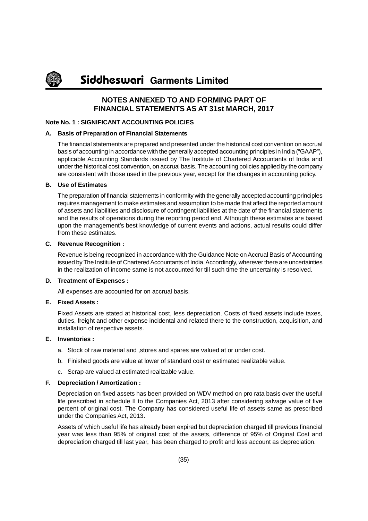

## **A. Basis of Preparation of Financial Statements of Preparation of Financial Statements<br>The financial statements are prepared and presented under the historical cost convention on accrual<br>The financial statements are prepa NOTES ANNEXED TO AND FORMING PART OF FINANCIAL STATEMENTS AS AT 31st MARCH, 2017**

### **Note No. 1 : SIGNIFICANT ACCOUNTING POLICIES**

basis of accounting in accordance with the generally accepted accounting principles in India ("GAAP"), applicable Accounting Standards issued by The Institute of Chartered Accountants of India and under the historical cost convention, on accrual basis. The accounting policies applied by the company are consistent with those used in the previous year, except for the changes in accounting policy. basis of accounting in accord<br>applicable Accounting Stan<br>under the historical cost conv<br>are consistent with those us<br>**B.** Use of Estimates<br>The preparation of financial s

The preparation of financial statements in conformity with the generally accepted accounting principles requires management to make estimates and assumption to be made that affect the reported amount of assets and liabilities and disclosure of contingent liabilities at the date of the financial statements and the results of operations during the reporting period end. Although these estimates are based upon the management's best knowledge of current events and actions, actual results could differ from these estimates. of assets and liabilities and dis<br>
and the results of operations c<br>
upon the management's best<br>
from these estimates.<br> **C.** Revenue Recognition :<br>
Revenue is being recognized in

Revenue is being recognized in accordance with the Guidance Note on Accrual Basis of Accounting issued by The Institute of Chartered Accountants of India. Accordingly, wherever there are uncertainties in the realization of income same is not accounted for till such time the uncertainty is resolved. **D. Treatment of Expenses :**<br> **Revenue is being recognized in issued by The Institute of Charter<br>
in the realization of income sam<br>
<b>D. Treatment of Expenses :**<br>
All expenses are accounted for

# **D. Treatment of Expenses :**<br>All expenses are accounte<br>**E. Fixed Assets :**

All expenses are accounted for on accrual basis.

Fixed Assets are stated at historical cost, less depreciation. Costs of fixed assets include taxes, duties, freight and other expense incidental and related there to the construction, acquisition, and installation of respective assets. E. The Price of Assets are s<br>
duties, freight and<br>
installation of respe<br> **E. Inventories :**<br>
a. Stock of raw ma Fixed Assets are stated at filstofical cost, less deplectation. Costs of fixed asset<br>duties, freight and other expense incidental and related there to the construction,<br>installation of respective assets.<br>**Inventories :**<br>a. installation of respective assets.<br> **Inventories :**<br>
a. Stock of raw material and ,stores and spares are valued at or under cost.<br>
b. Finished goods are value at lower of standard cost or estimated realizable value.<br>
c. Sc

- Inventories :<br>a. Stock of raw material and ,stores and spares are value.<br>b. Finished goods are value at lower of standard cost of<br>c. Scrap are valued at estimated realizable value.<br>Depreciation / Amortization :
- 
- 

a. Stock of raw material and ,stores<br>b. Finished goods are value at lowe<br>c. Scrap are valued at estimated re<br>**F. Depreciation / Amortization :**<br>Depreciation on fixed assets has been Depreciation on fixed assets has been provided on WDV method on pro rata basis over the useful life prescribed in schedule II to the Companies Act, 2013 after considering salvage value of five percent of original cost. The Company has considered useful life of assets same as prescribed under the Companies Act, 2013.

Assets of which useful life has already been expired but depreciation charged till previous financial year was less than 95% of original cost of the assets, difference of 95% of Original Cost and depreciation charged till last year, has been charged to profit and loss account as depreciation.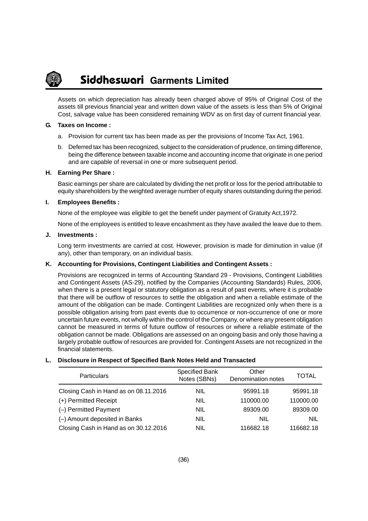Assets on which depreciation has already been charged above of 95% of Original Cost of the assets till previous financial year and written down value of the assets is less than 5% of Original Cost, salvage value has been considered remaining WDV as on first day of current financial year. **G. Taxes on Income :** Assets on which depreciation has already been charged above of 95% of Original Cost of the assets till previous financial year and written down value of the assets is less than 5% of Origin Cost, salvage value has been con

- 
- Cost, salvage value has been considered remaining WDV as on first day of current financial year.<br> **Taxes on Income :**<br>
a. Provision for current tax has been made as per the provisions of Income Tax Act, 1961.<br>
b. Deferred being the difference between taxable income and accounting income that originate in one period and are capable of reversal in one or more subsequent period. b. Deferred tax has been recognized, subject to the consideration of prudence, on timing difference, being the difference between taxable income and accounting income that originate in one period and are capable of reversa

Basic earnings per share are calculated by dividing the net profit or loss for the period attributable to equity shareholders by the weighted average number of equity shares outstanding during the period. **I.** Earning Per Share :<br>
Basic earnings per share are calculated by dividing the net profit or loss for the period attributate<br>
equity shareholders by the weighted average number of equity shares outstanding during the pe

None of the employees is entitled to leave encashment as they have availed the leave due to them.

**J.** Employees Benefit<br>None of the employe<br>None of the employe<br>J. Investments :<br>Long term investme Long term investments are carried at cost. However, provision is made for diminution in value (if any), other than temporary, on an individual basis. **K. Accounting for Provisions, Contingent Liabilities and Contingent Assets :<br>
Frovisions are recognized in terms of Accounting Standard 29 - Provisions, Contingent Assets :<br>
Provisions are recognized in terms of Accountin** 

Provisions are recognized in terms of Accounting Standard 29 - Provisions, Contingent Liabilities and Contingent Assets (AS-29), notified by the Companies (Accounting Standards) Rules, 2006, when there is a present legal or statutory obligation as a result of past events, where it is probable that there will be outflow of resources to settle the obligation and when a reliable estimate of the amount of the obligation can be made. Contingent Liabilities are recognized only when there is a possible obligation arising from past events due to occurrence or non-occurrence of one or more uncertain future events, not wholly within the control of the Company, or where any present obligation cannot be measured in terms of future outflow of resources or where a reliable estimate of the obligation cannot be made. Obligations are assessed on an ongoing basis and only those having a largely probable outflow of resources are provided for. Contingent Assets are not recognized in the financial statements. Exercise of the measured in terms of future outflow of resources or where a reliable enobligation cannot be made. Obligations are assessed on an ongoing basis and only largely probable outflow of resources are provided for

| <b>Particulars</b>                    | Specified Bank<br>Notes (SBNs) | Other<br>Denomination notes | TOTAL      |
|---------------------------------------|--------------------------------|-----------------------------|------------|
| Closing Cash in Hand as on 08.11.2016 | <b>NIL</b>                     | 95991.18                    | 95991.18   |
| (+) Permitted Receipt                 | <b>NIL</b>                     | 110000.00                   | 110000.00  |
| (-) Permitted Payment                 | <b>NIL</b>                     | 89309.00                    | 89309.00   |
| (-) Amount deposited in Banks         | <b>NIL</b>                     | <b>NIL</b>                  | <b>NIL</b> |
| Closing Cash in Hand as on 30.12.2016 | <b>NIL</b>                     | 116682.18                   | 116682.18  |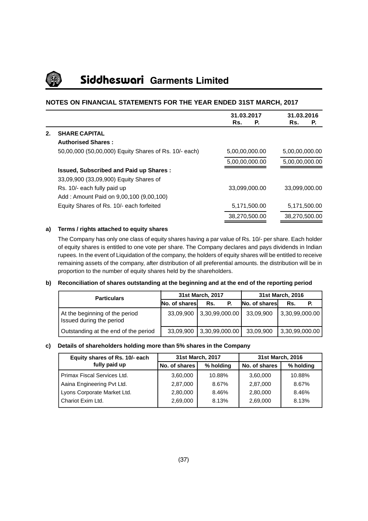|    |                                                                                                       | 31.03.2017     | 31.03.2016     |  |
|----|-------------------------------------------------------------------------------------------------------|----------------|----------------|--|
|    |                                                                                                       | Rs.<br>Р.      | Р.<br>Rs.      |  |
| 2. | <b>SHARE CAPITAL</b>                                                                                  |                |                |  |
|    | <b>Authorised Shares:</b>                                                                             |                |                |  |
|    | 50,00,000 (50,00,000) Equity Shares of Rs. 10/- each)                                                 | 5,00,00,000.00 | 5,00,00,000.00 |  |
|    |                                                                                                       | 5,00,00,000.00 | 5,00,00,000.00 |  |
|    | <b>Issued, Subscribed and Paid up Shares:</b>                                                         |                |                |  |
|    | 33,09,900 (33,09,900) Equity Shares of                                                                |                |                |  |
|    | Rs. 10/- each fully paid up                                                                           | 33,099,000.00  | 33,099,000.00  |  |
|    | Add: Amount Paid on 9,00,100 (9,00,100)                                                               |                |                |  |
|    | Equity Shares of Rs. 10/- each forfeited                                                              | 5,171,500.00   | 5,171,500.00   |  |
|    |                                                                                                       | 38,270,500.00  | 38,270,500.00  |  |
| a) | Terms / rights attached to equity shares                                                              |                |                |  |
|    | The Company has only one class of equity shares having a par value of Rs. 10/- per share. Each holder |                |                |  |
|    |                                                                                                       |                |                |  |

of equity shares is entitled to one vote per share. The Company declares and pays dividends in Indian rupees. In the event of Liquidation of the company, the holders of equity shares will be entitled to receive remaining assets of the company, after distribution of all preferential amounts. the distribution will be in proportion to the number of equity shares held by the shareholders. **b)** Reconciliation of shares outstanding at the beginning and at the end of the reporting period<br> **b)** Reconciliation of shares outstanding at the beginning and at the end of the reporting period<br> **b)** Reconciliation of s

| <b>Particulars</b>                                         |               | 31st March, 2017 | 31st March, 2016 |                |  |
|------------------------------------------------------------|---------------|------------------|------------------|----------------|--|
|                                                            | No. of shares | Р.<br>Rs.        | No. of shares    | Rs.<br>Р.      |  |
| At the beginning of the period<br>Issued during the period | 33.09.900     | 3,30,99,000.00   | 33,09,900        | 3,30,99,000.00 |  |
| Outstanding at the end of the period                       | 33,09,900     | 3,30,99,000.00   | 33,09,900        | 3,30,99,000.00 |  |

| Details of shareholders holding more than 5% shares in the Company |               |                  |                  |           |  |
|--------------------------------------------------------------------|---------------|------------------|------------------|-----------|--|
| Equity shares of Rs. 10/- each                                     |               | 31st March, 2017 | 31st March, 2016 |           |  |
| fully paid up                                                      | No. of shares | % holding        | No. of shares    | % holding |  |
| Primax Fiscal Services Ltd.                                        | 3,60,000      | 10.88%           | 3,60,000         | 10.88%    |  |
| Aaina Engineering Pvt Ltd.                                         | 2,87,000      | 8.67%            | 2,87,000         | 8.67%     |  |
| Lyons Corporate Market Ltd.                                        | 2,80,000      | 8.46%            | 2,80,000         | 8.46%     |  |
| Chariot Exim Ltd.                                                  | 2,69,000      | 8.13%            | 2,69,000         | 8.13%     |  |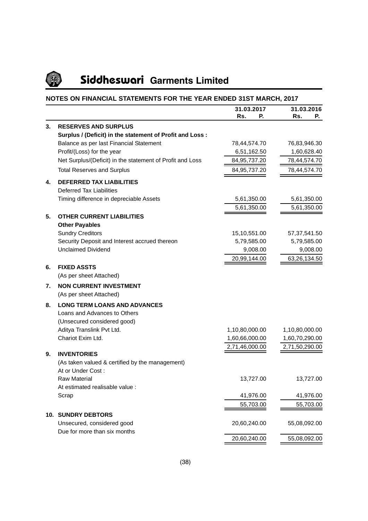|    |                                                           | 31.03.2017      | 31.03.2016     |
|----|-----------------------------------------------------------|-----------------|----------------|
|    |                                                           | Rs.<br>Р.       | Rs.<br>Р.      |
| 3. | <b>RESERVES AND SURPLUS</b>                               |                 |                |
|    | Surplus / (Deficit) in the statement of Profit and Loss : |                 |                |
|    | Balance as per last Financial Statement                   | 78,44,574.70    | 76,83,946.30   |
|    | Profit/(Loss) for the year                                | 6,51,162.50     | 1,60,628.40    |
|    | Net Surplus/(Deficit) in the statement of Profit and Loss | 84, 95, 737. 20 | 78,44,574.70   |
|    | <b>Total Reserves and Surplus</b>                         | 84,95,737.20    | 78,44,574.70   |
| 4. | <b>DEFERRED TAX LIABILITIES</b>                           |                 |                |
|    | <b>Deferred Tax Liabilities</b>                           |                 |                |
|    | Timing difference in depreciable Assets                   | 5,61,350.00     | 5,61,350.00    |
|    |                                                           | 5,61,350.00     | 5,61,350.00    |
| 5. | <b>OTHER CURRENT LIABILITIES</b>                          |                 |                |
|    | <b>Other Payables</b>                                     |                 |                |
|    | <b>Sundry Creditors</b>                                   | 15,10,551.00    | 57, 37, 541.50 |
|    | Security Deposit and Interest accrued thereon             | 5,79,585.00     | 5,79,585.00    |
|    | <b>Unclaimed Dividend</b>                                 | 9,008.00        | 9,008.00       |
|    |                                                           | 20,99,144.00    | 63,26,134.50   |
| 6. | <b>FIXED ASSTS</b>                                        |                 |                |
|    | (As per sheet Attached)                                   |                 |                |
| 7. | <b>NON CURRENT INVESTMENT</b>                             |                 |                |
|    | (As per sheet Attached)                                   |                 |                |
| 8. | <b>LONG TERM LOANS AND ADVANCES</b>                       |                 |                |
|    | Loans and Advances to Others                              |                 |                |
|    | (Unsecured considered good)                               |                 |                |
|    | Aditya Translink Pvt Ltd.                                 | 1,10,80,000.00  | 1,10,80,000.00 |
|    | Chariot Exim Ltd.                                         | 1,60,66,000.00  | 1,60,70,290.00 |
|    |                                                           | 2,71,46,000.00  | 2,71,50,290.00 |
| 9. | <b>INVENTORIES</b>                                        |                 |                |
|    | (As taken valued & certified by the management)           |                 |                |
|    | At or Under Cost:                                         |                 |                |
|    | <b>Raw Material</b>                                       | 13,727.00       | 13,727.00      |
|    | At estimated realisable value :                           |                 |                |
|    | Scrap                                                     | 41,976.00       | 41,976.00      |
|    |                                                           | 55,703.00       | 55,703.00      |
|    | <b>10. SUNDRY DEBTORS</b>                                 |                 |                |
|    | Unsecured, considered good                                | 20,60,240.00    | 55,08,092.00   |
|    |                                                           |                 |                |
|    | Due for more than six months                              | 20,60,240.00    | 55,08,092.00   |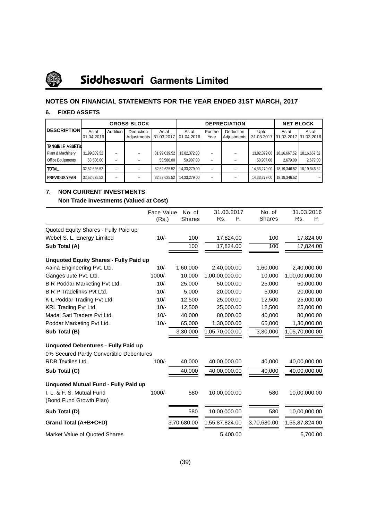

#### **NOTES ON FINANCIAL STATEMENTS FOR THE YEAR ENDED 31ST MARCH, 2017**

| NOTES ON FINANCIAL STATEMENTS FOR THE YEAR ENDED 31ST MARCH, 2017<br>6.<br><b>FIXED ASSETS</b> |                     |          |                          |                     |                     |                          |                                 |                    |                                |                |
|------------------------------------------------------------------------------------------------|---------------------|----------|--------------------------|---------------------|---------------------|--------------------------|---------------------------------|--------------------|--------------------------------|----------------|
|                                                                                                | <b>GROSS BLOCK</b>  |          |                          |                     | <b>DEPRECIATION</b> |                          |                                 | <b>NET BLOCK</b>   |                                |                |
| <b>IDESCRIPTIONI</b>                                                                           | As at<br>01.04.2016 | Addition | Deduction<br>Adjustments | As at<br>31.03.2017 | As at<br>01.04.2016 | For the<br>Year          | <b>Deduction</b><br>Adjustments | Upto<br>31.03.2017 | As at<br>31.03.2017 31.03.2016 | As at          |
| <b>TANGIBLE ASSETS:</b>                                                                        |                     |          |                          |                     |                     |                          |                                 |                    |                                |                |
| Plant & Machinery                                                                              | 31,99,039.52        |          |                          | 31,99,039.52        | 13,82,372.00        | -                        |                                 | 13,82,372.00       | 18,16,667.52                   | 18,16,667.52   |
| Office Equipments                                                                              | 53,586.00           | -        |                          | 53,586.00           | 50,907.00           | -                        |                                 | 50,907.00          | 2,679.00                       | 2,679.00       |
| <b>TOTAL</b>                                                                                   | 32,52,625.52        | -        |                          | 32,52,625.52        | 14,33,279.00        | $\qquad \qquad -$        |                                 | 14,33,279.00       | 18, 19, 346.52                 | 18, 19, 346.52 |
| <b>PREVIOUS YEAR</b>                                                                           | 32,52,625.52        | -        |                          | 32,52,625.52        | 14,33,279.00        | $\overline{\phantom{0}}$ | -                               | 14,33,279.00       | 18,19,346.52                   |                |

|                                                      | Face Value | No. of        | 31.03.2017     | No. of        | 31.03.2016     |
|------------------------------------------------------|------------|---------------|----------------|---------------|----------------|
|                                                      | (Rs.)      | <b>Shares</b> | Rs.<br>Р.      | <b>Shares</b> | Rs.<br>Р.      |
| Quoted Equity Shares - Fully Paid up                 |            |               |                |               |                |
| Webel S. L. Energy Limited                           | $10/-$     | 100           | 17,824.00      | 100           | 17,824.00      |
| Sub Total (A)                                        |            | 100           | 17,824.00      | 100           | 17,824.00      |
|                                                      |            |               |                |               |                |
| <b>Unquoted Equity Shares - Fully Paid up</b>        |            |               |                |               |                |
| Aaina Engineering Pvt. Ltd.                          | $10/-$     | 1,60,000      | 2,40,000.00    | 1,60,000      | 2,40,000.00    |
| Ganges Jute Pvt. Ltd.                                | 1000/-     | 10,000        | 1,00,00,000.00 | 10,000        | 1,00,00,000.00 |
| B R Poddar Marketing Pvt Ltd.                        | $10/-$     | 25,000        | 50,000.00      | 25,000        | 50,000.00      |
| <b>B R P Tradelinks Pvt Ltd.</b>                     | $10/-$     | 5,000         | 20,000.00      | 5,000         | 20,000.00      |
| K L Poddar Trading Pvt Ltd                           | $10/-$     | 12,500        | 25,000.00      | 12,500        | 25,000.00      |
| KRL Trading Pvt Ltd.                                 | $10/-$     | 12,500        | 25,000.00      | 12,500        | 25,000.00      |
| Madal Sati Traders Pvt Ltd.                          | $10/-$     | 40,000        | 80,000.00      | 40,000        | 80,000.00      |
| Poddar Marketing Pvt Ltd.                            | $10/-$     | 65,000        | 1,30,000.00    | 65,000        | 1,30,000.00    |
| Sub Total (B)                                        |            | 3,30,000      | 1,05,70,000.00 | 3,30,000      | 1,05,70,000.00 |
| <b>Unquoted Debentures - Fully Paid up</b>           |            |               |                |               |                |
| 0% Secured Partly Convertible Debentures             |            |               |                |               |                |
| <b>RDB Textiles Ltd.</b>                             | $100/-$    | 40,000        | 40,00,000.00   | 40,000        | 40,00,000.00   |
| Sub Total (C)                                        |            | 40,000        | 40,00,000.00   | 40,000        | 40,00,000.00   |
| <b>Unquoted Mutual Fund - Fully Paid up</b>          |            |               |                |               |                |
| I. L. & F. S. Mutual Fund<br>(Bond Fund Growth Plan) | 1000/-     | 580           | 10,00,000.00   | 580           | 10,00,000.00   |
| Sub Total (D)                                        |            | 580           | 10,00,000.00   | 580           | 10,00,000.00   |
| Grand Total (A+B+C+D)                                |            | 3,70,680.00   | 1,55,87,824.00 | 3,70,680.00   | 1,55,87,824.00 |
| Market Value of Quoted Shares                        |            |               | 5,400.00       |               | 5,700.00       |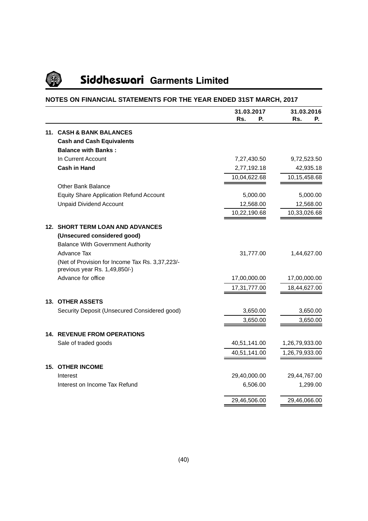|                                                                                  | 31.03.2017<br>Р.<br>Rs. | 31.03.2016<br>Rs.<br>Р. |
|----------------------------------------------------------------------------------|-------------------------|-------------------------|
| 11. CASH & BANK BALANCES                                                         |                         |                         |
| <b>Cash and Cash Equivalents</b>                                                 |                         |                         |
| <b>Balance with Banks:</b>                                                       |                         |                         |
| In Current Account                                                               | 7,27,430.50             | 9,72,523.50             |
| <b>Cash in Hand</b>                                                              | 2,77,192.18             | 42,935.18               |
|                                                                                  | 10,04,622.68            | 10,15,458.68            |
| <b>Other Bank Balance</b>                                                        |                         |                         |
| <b>Equity Share Application Refund Account</b>                                   | 5,000.00                | 5,000.00                |
| <b>Unpaid Dividend Account</b>                                                   | 12,568.00               | 12,568.00               |
|                                                                                  | 10,22,190.68            | 10,33,026.68            |
| 12. SHORT TERM LOAN AND ADVANCES                                                 |                         |                         |
| (Unsecured considered good)                                                      |                         |                         |
| <b>Balance With Government Authority</b>                                         |                         |                         |
| <b>Advance Tax</b>                                                               | 31,777.00               | 1,44,627.00             |
| (Net of Provision for Income Tax Rs. 3,37,223/-<br>previous year Rs. 1,49,850/-) |                         |                         |
| Advance for office                                                               | 17,00,000.00            | 17,00,000.00            |
|                                                                                  | 17,31,777.00            | 18,44,627.00            |
| <b>13. OTHER ASSETS</b>                                                          |                         |                         |
| Security Deposit (Unsecured Considered good)                                     | 3,650.00                | 3,650.00                |
|                                                                                  | 3,650.00                | 3,650.00                |
| <b>14. REVENUE FROM OPERATIONS</b>                                               |                         |                         |
| Sale of traded goods                                                             | 40,51,141.00            | 1,26,79,933.00          |
|                                                                                  | 40,51,141.00            | 1,26,79,933.00          |
| <b>15. OTHER INCOME</b>                                                          |                         |                         |
| Interest                                                                         | 29,40,000.00            | 29,44,767.00            |
| Interest on Income Tax Refund                                                    | 6,506.00                | 1,299.00                |
|                                                                                  | 29,46,506.00            | 29,46,066.00            |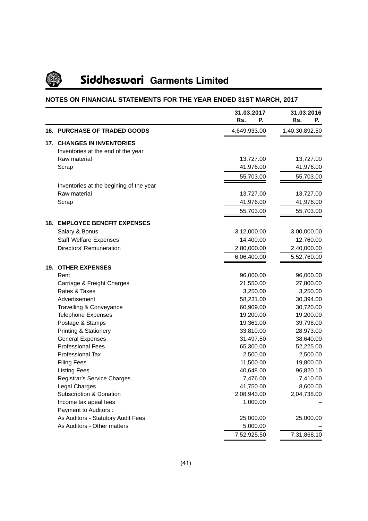|  |                                         | 31.03.2017<br>Rs.<br>Р. | 31.03.2016<br>Rs.<br>Р. |
|--|-----------------------------------------|-------------------------|-------------------------|
|  | 16. PURCHASE OF TRADED GOODS            | 4,649,933.00            | 1,40,30,892.50          |
|  | 17. CHANGES IN INVENTORIES              |                         |                         |
|  | Inventories at the end of the year      |                         |                         |
|  | Raw material                            | 13,727.00               | 13,727.00               |
|  | Scrap                                   | 41,976.00               | 41,976.00               |
|  |                                         | 55,703.00               | 55,703.00               |
|  | Inventories at the begining of the year |                         |                         |
|  | Raw material                            | 13,727.00               | 13,727.00               |
|  | Scrap                                   | 41,976.00               | 41,976.00               |
|  |                                         | 55,703.00               | 55,703.00               |
|  | 18. EMPLOYEE BENEFIT EXPENSES           |                         |                         |
|  | Salary & Bonus                          | 3,12,000.00             | 3,00,000.00             |
|  | <b>Staff Welfare Expenses</b>           | 14,400.00               | 12,760.00               |
|  | Directors' Remuneration                 | 2,80,000.00             | 2,40,000.00             |
|  |                                         | 6,06,400.00             | 5,52,760.00             |
|  | <b>19. OTHER EXPENSES</b>               |                         |                         |
|  | Rent                                    | 96,000.00               | 96,000.00               |
|  | Carriage & Freight Charges              | 21,550.00               | 27,800.00               |
|  | Rates & Taxes                           | 3,250.00                | 3,250.00                |
|  | Advertisement                           | 58,231.00               | 30,394.00               |
|  | Travelling & Conveyance                 | 60,909.00               | 30,720.00               |
|  | <b>Telephone Expenses</b>               | 19,200.00               | 19,200.00               |
|  | Postage & Stamps                        | 19,361.00               | 39,798.00               |
|  | <b>Printing &amp; Stationery</b>        | 33,810.00               | 28,973.00               |
|  | <b>General Expenses</b>                 | 31,497.50               | 38,640.00               |
|  | <b>Professional Fees</b>                | 65,300.00               | 52,225.00               |
|  | Professional Tax                        | 2,500.00                | 2,500.00                |
|  | <b>Filing Fees</b>                      | 11,500.00               | 19,800.00               |
|  | <b>Listing Fees</b>                     | 40,648.00               | 96,820.10               |
|  | Registrar's Service Charges             | 7,476.00                | 7,410.00                |
|  | Legal Charges                           | 41,750.00               | 8,600.00                |
|  | Subscription & Donation                 | 2,08,943.00             | 2,04,738.00             |
|  | Income tax apeal fees                   | 1,000.00                |                         |
|  | Payment to Auditors :                   |                         |                         |
|  | As Auditors - Statutory Audit Fees      | 25,000.00               | 25,000.00               |
|  | As Auditors - Other matters             | 5,000.00                |                         |
|  |                                         | 7,52,925.50             | 7,31,868.10             |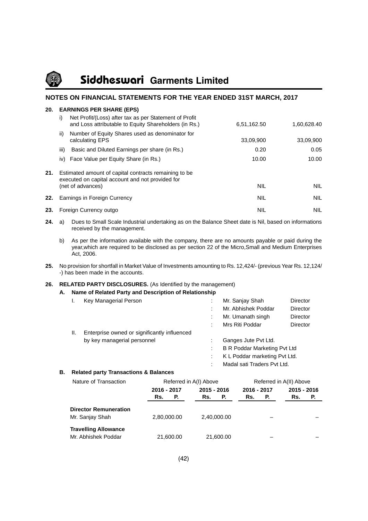### **NOTES ON FINANCIAL STATEMENTS FOR THE YEAR ENDED 31ST MARCH, 2017**

| 鳳う山鸡          |      | <b>Siddheswari</b> Garments Limited                                                                                                                |             |             |
|---------------|------|----------------------------------------------------------------------------------------------------------------------------------------------------|-------------|-------------|
|               |      | NOTES ON FINANCIAL STATEMENTS FOR THE YEAR ENDED 31ST MARCH, 2017                                                                                  |             |             |
| 20.           | i)   | <b>EARNINGS PER SHARE (EPS)</b><br>Net Profit/(Loss) after tax as per Statement of Profit<br>and Loss attributable to Equity Shareholders (in Rs.) | 6,51,162.50 | 1,60,628.40 |
|               | ii)  | Number of Equity Shares used as denominator for<br>calculating EPS                                                                                 | 33,09,900   | 33,09,900   |
|               | iii) | Basic and Diluted Earnings per share (in Rs.)                                                                                                      | 0.20        | 0.05        |
|               | iv)  | Face Value per Equity Share (in Rs.)                                                                                                               | 10.00       | 10.00       |
| 21.           |      | Estimated amount of capital contracts remaining to be<br>executed on capital account and not provided for<br>(net of advances)                     | <b>NIL</b>  | <b>NIL</b>  |
| 22.           |      | Earnings in Foreign Currency                                                                                                                       | NIL         | <b>NIL</b>  |
| 23.           |      | Foreign Currency outgo                                                                                                                             | <b>NIL</b>  | <b>NIL</b>  |
| <b>24.</b> a) |      | Dues to Small Scale Industrial undertaking as on the Balance Sheet date is Nil, based on informations                                              |             |             |

- received by the management.
- Foreign Currency outgo<br>
a) Dues to Small Scale Industrial undertaking as on the Balance Sheet date is Nil, based on informations<br>
received by the management.<br>
b) As per the information available with the company, there are Act, 2006.
- **25.** No provision for shortfall in Market Value of Investments amounting to Rs. 12,424/- (previous Year Rs. 12,124/ -) has been made in the accounts. Act, 2006.<br> **25.** No provision for shortfall in Market Value of Investments amounting to Rs. 12,42<br>
-) has been made in the accounts.<br> **26.** RELATED PARTY DISCLOSURES. (As Identified by the management)<br>
A. Name of Related No provision for shortfall in Market Value of Investments amounting to Rs. 1:<br> **A. RELATED PARTY DISCLOSURES.** (As Identified by the management)<br> **A. Name of Related Party and Description of Relationship**<br>
1. Key Manageria

|    | as been made in the accounts.                             |   |                                     |                 |
|----|-----------------------------------------------------------|---|-------------------------------------|-----------------|
|    | ATED PARTY DISCLOSURES. (As Identified by the management) |   |                                     |                 |
|    | Name of Related Party and Description of Relationship     |   |                                     |                 |
| I. | Key Managerial Person                                     |   | Mr. Sanjay Shah                     | Director        |
|    |                                                           |   | Mr. Abhishek Poddar                 | Director        |
|    |                                                           |   | Mr. Umanath singh                   | <b>Director</b> |
|    |                                                           | ÷ | Mrs Riti Poddar                     | Director        |
| Ш. | Enterprise owned or significantly influenced              |   |                                     |                 |
|    | by key managerial personnel                               |   | Ganges Jute Pvt Ltd.                |                 |
|    |                                                           |   | <b>B R Poddar Marketing Pvt Ltd</b> |                 |
|    |                                                           |   | K L Poddar marketing Pvt Ltd.       |                 |
|    |                                                           |   | Madal sati Traders Pyt Ltd.         |                 |
|    | <b>Related party Transactions &amp; Balances</b>          |   |                                     |                 |

#### **B. Related party Transactions & Balances**

| Nature of Transaction        | Referred in A(I) Above |             |             | Referred in A(II) Above |
|------------------------------|------------------------|-------------|-------------|-------------------------|
|                              | 2016 - 2017            | 2015 - 2016 | 2016 - 2017 | 2015 - 2016             |
|                              | Rs.<br>Р.              | Rs.<br>Р.   | Rs.<br>Р.   | Р.<br>Rs.               |
| <b>Director Remuneration</b> |                        |             |             |                         |
| Mr. Sanjay Shah              | 2,80,000.00            | 2,40,000.00 |             |                         |
| <b>Travelling Allowance</b>  |                        |             |             |                         |
| Mr. Abhishek Poddar          | 21,600.00              | 21,600.00   |             | -                       |
|                              |                        |             |             |                         |